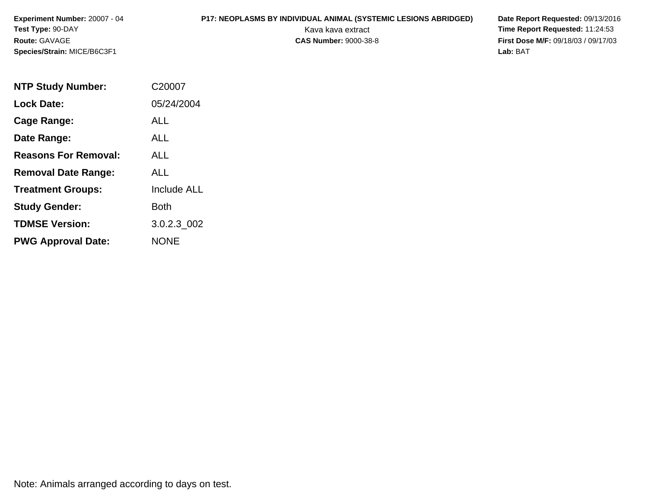## **P17: NEOPLASMS BY INDIVIDUAL ANIMAL (SYSTEMIC LESIONS ABRIDGED) Date Report Requested:** 09/13/2016

Kava kava extract **Time Report Requested:** 11:24:53<br>**CAS Number:** 9000-38-8 **Time Report Requested:** 11:24:53 **First Dose M/F:** 09/18/03 / 09/17/03<br>Lab: BAT **Lab:** BAT

| <b>NTP Study Number:</b>    | C20007             |
|-----------------------------|--------------------|
| <b>Lock Date:</b>           | 05/24/2004         |
| Cage Range:                 | ALL                |
| Date Range:                 | AI I               |
| <b>Reasons For Removal:</b> | ALL                |
| <b>Removal Date Range:</b>  | ALL                |
| <b>Treatment Groups:</b>    | <b>Include ALL</b> |
| <b>Study Gender:</b>        | <b>Both</b>        |
| <b>TDMSE Version:</b>       | 3.0.2.3_002        |
| <b>PWG Approval Date:</b>   | NONE               |

Note: Animals arranged according to days on test.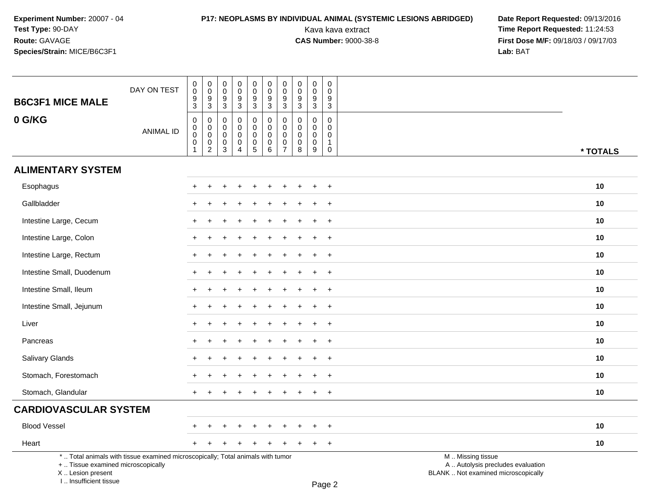I .. Insufficient tissue

## **P17: NEOPLASMS BY INDIVIDUAL ANIMAL (SYSTEMIC LESIONS ABRIDGED) Date Report Requested: 09/13/2016<br>Kava kava extract <b>Time Report Requested:** 11:24:53

| <b>B6C3F1 MICE MALE</b>                                                                                                                   | DAY ON TEST      | $\,0\,$<br>$\mathbf 0$<br>$\frac{9}{3}$                      | $\begin{smallmatrix} 0\\0 \end{smallmatrix}$<br>$\frac{9}{3}$              | $\,0\,$<br>$\mathbf 0$<br>$\frac{9}{3}$            | $_{\rm 0}^{\rm 0}$<br>$\boldsymbol{9}$<br>$\overline{3}$                       | $\pmb{0}$<br>$\pmb{0}$<br>$\frac{9}{3}$                                            | $\pmb{0}$<br>$\overline{0}$<br>$\frac{9}{3}$                | $\pmb{0}$<br>$\mathbf 0$<br>9<br>$\overline{3}$         | $\pmb{0}$<br>$\mathbf 0$<br>$\frac{9}{3}$                          | $_{\rm 0}^{\rm 0}$<br>$\boldsymbol{9}$<br>$\overline{3}$                           | $\pmb{0}$<br>$\Omega$<br>9<br>3                                       |                                                                                               |          |
|-------------------------------------------------------------------------------------------------------------------------------------------|------------------|--------------------------------------------------------------|----------------------------------------------------------------------------|----------------------------------------------------|--------------------------------------------------------------------------------|------------------------------------------------------------------------------------|-------------------------------------------------------------|---------------------------------------------------------|--------------------------------------------------------------------|------------------------------------------------------------------------------------|-----------------------------------------------------------------------|-----------------------------------------------------------------------------------------------|----------|
| 0 G/KG                                                                                                                                    | <b>ANIMAL ID</b> | $\pmb{0}$<br>$\mathbf 0$<br>$\mathbf 0$<br>0<br>$\mathbf{1}$ | $\mathbf 0$<br>$\mathbf 0$<br>$\mathbf 0$<br>$\mathbf 0$<br>$\overline{2}$ | $\pmb{0}$<br>0<br>$\mathbf 0$<br>0<br>$\mathbf{3}$ | $\mathsf{O}\xspace$<br>$\mathbf 0$<br>$\pmb{0}$<br>$\pmb{0}$<br>$\overline{4}$ | $\mathbf 0$<br>$\mathbf 0$<br>$\mathbf 0$<br>$\begin{array}{c} 0 \\ 5 \end{array}$ | $\pmb{0}$<br>$\mathbf 0$<br>$\mathsf 0$<br>$\mathbf 0$<br>6 | 0<br>$\mathbf{0}$<br>$\mathbf 0$<br>0<br>$\overline{7}$ | $\mathbf 0$<br>$\Omega$<br>$\mathbf 0$<br>$\mathsf{O}\xspace$<br>8 | $\mathbf 0$<br>$\mathbf 0$<br>$\mathsf{O}\xspace$<br>$\pmb{0}$<br>$\boldsymbol{9}$ | $\mathbf 0$<br>$\Omega$<br>$\mathbf 0$<br>$\mathbf{1}$<br>$\mathbf 0$ |                                                                                               | * TOTALS |
| <b>ALIMENTARY SYSTEM</b>                                                                                                                  |                  |                                                              |                                                                            |                                                    |                                                                                |                                                                                    |                                                             |                                                         |                                                                    |                                                                                    |                                                                       |                                                                                               |          |
| Esophagus                                                                                                                                 |                  |                                                              |                                                                            |                                                    |                                                                                |                                                                                    |                                                             |                                                         |                                                                    |                                                                                    | $\div$                                                                |                                                                                               | 10       |
| Gallbladder                                                                                                                               |                  |                                                              |                                                                            |                                                    |                                                                                |                                                                                    |                                                             |                                                         |                                                                    | $\div$                                                                             | $^{+}$                                                                |                                                                                               | 10       |
| Intestine Large, Cecum                                                                                                                    |                  |                                                              |                                                                            |                                                    |                                                                                |                                                                                    |                                                             |                                                         |                                                                    | $\ddot{}$                                                                          | $+$                                                                   |                                                                                               | 10       |
| Intestine Large, Colon                                                                                                                    |                  |                                                              |                                                                            |                                                    |                                                                                |                                                                                    |                                                             |                                                         |                                                                    |                                                                                    | $\div$                                                                |                                                                                               | 10       |
| Intestine Large, Rectum                                                                                                                   |                  |                                                              |                                                                            |                                                    |                                                                                |                                                                                    |                                                             |                                                         |                                                                    |                                                                                    | $\overline{1}$                                                        |                                                                                               | 10       |
| Intestine Small, Duodenum                                                                                                                 |                  |                                                              |                                                                            |                                                    |                                                                                |                                                                                    |                                                             |                                                         |                                                                    |                                                                                    | $\overline{1}$                                                        |                                                                                               | 10       |
| Intestine Small, Ileum                                                                                                                    |                  |                                                              |                                                                            |                                                    |                                                                                |                                                                                    |                                                             |                                                         |                                                                    |                                                                                    | $+$                                                                   |                                                                                               | 10       |
| Intestine Small, Jejunum                                                                                                                  |                  |                                                              |                                                                            |                                                    |                                                                                |                                                                                    |                                                             |                                                         |                                                                    |                                                                                    | $+$                                                                   |                                                                                               | 10       |
| Liver                                                                                                                                     |                  |                                                              |                                                                            |                                                    |                                                                                |                                                                                    |                                                             |                                                         |                                                                    |                                                                                    | $\div$                                                                |                                                                                               | 10       |
| Pancreas                                                                                                                                  |                  |                                                              |                                                                            |                                                    |                                                                                |                                                                                    |                                                             |                                                         |                                                                    |                                                                                    | $\overline{ }$                                                        |                                                                                               | 10       |
| Salivary Glands                                                                                                                           |                  |                                                              |                                                                            |                                                    |                                                                                |                                                                                    |                                                             |                                                         |                                                                    |                                                                                    | $\ddot{}$                                                             |                                                                                               | 10       |
| Stomach, Forestomach                                                                                                                      |                  |                                                              |                                                                            |                                                    |                                                                                |                                                                                    |                                                             |                                                         |                                                                    |                                                                                    | $\div$                                                                |                                                                                               | 10       |
| Stomach, Glandular                                                                                                                        |                  |                                                              |                                                                            |                                                    |                                                                                |                                                                                    |                                                             |                                                         |                                                                    | $\ddot{}$                                                                          | $+$                                                                   |                                                                                               | 10       |
| <b>CARDIOVASCULAR SYSTEM</b>                                                                                                              |                  |                                                              |                                                                            |                                                    |                                                                                |                                                                                    |                                                             |                                                         |                                                                    |                                                                                    |                                                                       |                                                                                               |          |
| <b>Blood Vessel</b>                                                                                                                       |                  |                                                              |                                                                            |                                                    |                                                                                |                                                                                    |                                                             |                                                         |                                                                    |                                                                                    | $\overline{1}$                                                        |                                                                                               | 10       |
| Heart                                                                                                                                     |                  |                                                              |                                                                            |                                                    |                                                                                |                                                                                    |                                                             |                                                         |                                                                    |                                                                                    | $+$                                                                   |                                                                                               | 10       |
| *  Total animals with tissue examined microscopically; Total animals with tumor<br>+  Tissue examined microscopically<br>X Lesion present |                  |                                                              |                                                                            |                                                    |                                                                                |                                                                                    |                                                             |                                                         |                                                                    |                                                                                    |                                                                       | M  Missing tissue<br>A  Autolysis precludes evaluation<br>BLANK  Not examined microscopically |          |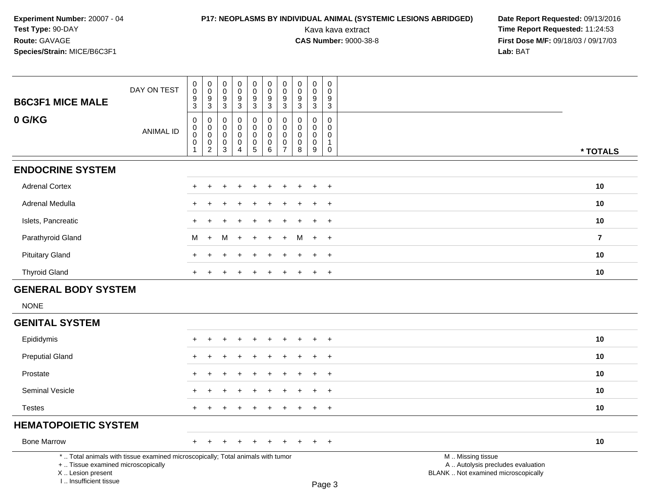## **P17: NEOPLASMS BY INDIVIDUAL ANIMAL (SYSTEMIC LESIONS ABRIDGED) Date Report Requested: 09/13/2016<br>Kava kava extract <b>Time Report Requested:** 11:24:53

Kava kava extract **Time Report Requested:** 11:24:53<br>**CAS Number:** 9000-38-8 **Time Report Requested:** 11:24:53 **First Dose M/F:** 09/18/03 / 09/17/03<br>Lab: BAT **Lab:** BAT

| <b>B6C3F1 MICE MALE</b>            | DAY ON TEST                                                                     | $\pmb{0}$<br>$\mathbf 0$<br>$\boldsymbol{9}$<br>3          | $\pmb{0}$<br>$\mathsf{O}\xspace$<br>$\boldsymbol{9}$<br>$\mathbf{3}$   | $\pmb{0}$<br>$\mathsf 0$<br>9<br>3 | $\pmb{0}$<br>$\pmb{0}$<br>9<br>$\mathsf 3$ | $_{\rm 0}^{\rm 0}$<br>$\boldsymbol{9}$<br>$\mathbf{3}$             | $\pmb{0}$<br>$\pmb{0}$<br>$\boldsymbol{9}$<br>$\overline{3}$    | $\pmb{0}$<br>$\mathbf 0$<br>9<br>$\mathbf{3}$                              | $\mathbf 0$<br>$\mathbf 0$<br>9<br>$\mathbf{3}$ | $\pmb{0}$<br>$\pmb{0}$<br>$\boldsymbol{9}$<br>$\overline{3}$                     | $\pmb{0}$<br>$\mathbf 0$<br>9<br>3            |                                                        |                |
|------------------------------------|---------------------------------------------------------------------------------|------------------------------------------------------------|------------------------------------------------------------------------|------------------------------------|--------------------------------------------|--------------------------------------------------------------------|-----------------------------------------------------------------|----------------------------------------------------------------------------|-------------------------------------------------|----------------------------------------------------------------------------------|-----------------------------------------------|--------------------------------------------------------|----------------|
| 0 G/KG                             | <b>ANIMAL ID</b>                                                                | 0<br>$\pmb{0}$<br>$\mathbf 0$<br>$\pmb{0}$<br>$\mathbf{1}$ | 0<br>$\mathbf 0$<br>$\mathsf{O}\xspace$<br>$\pmb{0}$<br>$\overline{c}$ | 0<br>0<br>0<br>0<br>3              | $\mathbf 0$<br>0<br>0<br>$\pmb{0}$<br>4    | $\pmb{0}$<br>$\pmb{0}$<br>$\pmb{0}$<br>$\pmb{0}$<br>$\overline{5}$ | $\mathbf 0$<br>$\pmb{0}$<br>$\mathbf 0$<br>$\pmb{0}$<br>$\,6\,$ | $\mathbf 0$<br>$\mathbf 0$<br>$\mathbf 0$<br>$\mathbf 0$<br>$\overline{7}$ | 0<br>$\mathbf 0$<br>$\mathbf 0$<br>0<br>8       | $\mathbf 0$<br>$\pmb{0}$<br>$\mathsf{O}\xspace$<br>$\pmb{0}$<br>$\boldsymbol{9}$ | $\Omega$<br>$\Omega$<br>$\mathbf 0$<br>1<br>0 |                                                        | * TOTALS       |
| <b>ENDOCRINE SYSTEM</b>            |                                                                                 |                                                            |                                                                        |                                    |                                            |                                                                    |                                                                 |                                                                            |                                                 |                                                                                  |                                               |                                                        |                |
| <b>Adrenal Cortex</b>              |                                                                                 | $\pm$                                                      |                                                                        | ÷                                  |                                            | ÷                                                                  | $\ddot{}$                                                       |                                                                            |                                                 | $+$                                                                              | $+$                                           |                                                        | 10             |
| Adrenal Medulla                    |                                                                                 |                                                            |                                                                        |                                    |                                            |                                                                    |                                                                 |                                                                            |                                                 |                                                                                  | $\overline{1}$                                |                                                        | 10             |
| Islets, Pancreatic                 |                                                                                 | ÷                                                          |                                                                        |                                    |                                            |                                                                    |                                                                 |                                                                            |                                                 |                                                                                  | $\div$                                        |                                                        | 10             |
| Parathyroid Gland                  |                                                                                 | M                                                          | $\ddot{}$                                                              | М                                  | $+$                                        | $\overline{ }$                                                     | $+$                                                             | $+$                                                                        | M                                               | $+$                                                                              | $+$                                           |                                                        | $\overline{7}$ |
| <b>Pituitary Gland</b>             |                                                                                 |                                                            |                                                                        |                                    |                                            |                                                                    |                                                                 |                                                                            |                                                 |                                                                                  | $\ddot{}$                                     |                                                        | 10             |
| <b>Thyroid Gland</b>               |                                                                                 |                                                            |                                                                        |                                    |                                            |                                                                    |                                                                 |                                                                            |                                                 |                                                                                  | $+$                                           |                                                        | 10             |
| <b>GENERAL BODY SYSTEM</b>         |                                                                                 |                                                            |                                                                        |                                    |                                            |                                                                    |                                                                 |                                                                            |                                                 |                                                                                  |                                               |                                                        |                |
| <b>NONE</b>                        |                                                                                 |                                                            |                                                                        |                                    |                                            |                                                                    |                                                                 |                                                                            |                                                 |                                                                                  |                                               |                                                        |                |
| <b>GENITAL SYSTEM</b>              |                                                                                 |                                                            |                                                                        |                                    |                                            |                                                                    |                                                                 |                                                                            |                                                 |                                                                                  |                                               |                                                        |                |
| Epididymis                         |                                                                                 |                                                            |                                                                        |                                    |                                            |                                                                    |                                                                 |                                                                            |                                                 |                                                                                  | $\pm$                                         |                                                        | 10             |
| <b>Preputial Gland</b>             |                                                                                 |                                                            |                                                                        |                                    |                                            |                                                                    |                                                                 |                                                                            |                                                 |                                                                                  | $\ddot{}$                                     |                                                        | 10             |
| Prostate                           |                                                                                 | $+$                                                        |                                                                        |                                    |                                            |                                                                    |                                                                 |                                                                            |                                                 |                                                                                  | $\overline{+}$                                |                                                        | 10             |
| Seminal Vesicle                    |                                                                                 |                                                            |                                                                        |                                    |                                            |                                                                    |                                                                 |                                                                            |                                                 |                                                                                  | $\overline{1}$                                |                                                        | 10             |
| <b>Testes</b>                      |                                                                                 |                                                            |                                                                        |                                    |                                            |                                                                    |                                                                 |                                                                            |                                                 |                                                                                  | $+$                                           |                                                        | 10             |
| <b>HEMATOPOIETIC SYSTEM</b>        |                                                                                 |                                                            |                                                                        |                                    |                                            |                                                                    |                                                                 |                                                                            |                                                 |                                                                                  |                                               |                                                        |                |
| <b>Bone Marrow</b>                 |                                                                                 | $\pm$                                                      |                                                                        |                                    |                                            |                                                                    |                                                                 |                                                                            |                                                 |                                                                                  | $+$                                           |                                                        | 10             |
| +  Tissue examined microscopically | *  Total animals with tissue examined microscopically; Total animals with tumor |                                                            |                                                                        |                                    |                                            |                                                                    |                                                                 |                                                                            |                                                 |                                                                                  |                                               | M  Missing tissue<br>A  Autolysis precludes evaluation |                |

X .. Lesion present

I .. Insufficient tissue

Lesion present BLANK .. Not examined microscopically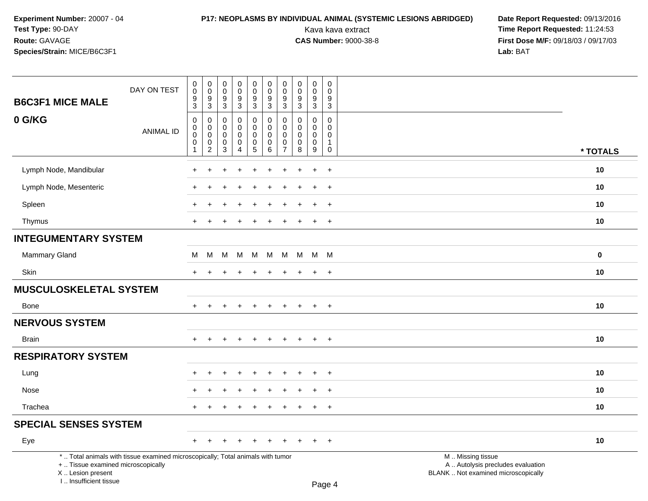# **P17: NEOPLASMS BY INDIVIDUAL ANIMAL (SYSTEMIC LESIONS ABRIDGED) Date Report Requested: 09/13/2016<br>Kava kava extract <b>Time Report Requested:** 11:24:53

| <b>B6C3F1 MICE MALE</b>                                                          | DAY ON TEST                                                                     | $\pmb{0}$<br>0<br>9<br>$\overline{3}$                | $\boldsymbol{0}$<br>$\mathsf 0$<br>9<br>$\overline{3}$ | $\pmb{0}$<br>$\ddot{\mathbf{0}}$<br>$\frac{9}{3}$              | $\pmb{0}$<br>$\ddot{\mathbf{0}}$<br>$\frac{9}{3}$              | $\mathsf 0$<br>$\ddot{\mathbf{0}}$<br>$\frac{9}{3}$                 | $\pmb{0}$<br>$\mathbf 0$<br>$9\,$<br>$\overline{3}$                 | $\pmb{0}$<br>$\mathbf 0$<br>$9\,$<br>$\sqrt{3}$                  | $\pmb{0}$<br>$\mathbf 0$<br>9<br>$\overline{3}$             | $\pmb{0}$<br>$\overline{0}$<br>$\frac{9}{3}$                       | $\pmb{0}$<br>$\Omega$<br>9<br>$\overline{3}$                             |                                                                                               |             |
|----------------------------------------------------------------------------------|---------------------------------------------------------------------------------|------------------------------------------------------|--------------------------------------------------------|----------------------------------------------------------------|----------------------------------------------------------------|---------------------------------------------------------------------|---------------------------------------------------------------------|------------------------------------------------------------------|-------------------------------------------------------------|--------------------------------------------------------------------|--------------------------------------------------------------------------|-----------------------------------------------------------------------------------------------|-------------|
| 0 G/KG                                                                           | <b>ANIMAL ID</b>                                                                | $\mathbf 0$<br>0<br>$\mathbf 0$<br>0<br>$\mathbf{1}$ | $\mathbf 0$<br>0<br>$\mathbf 0$<br>0<br>$\overline{c}$ | $\mathbf 0$<br>0<br>$\mathbf 0$<br>$\pmb{0}$<br>$\mathfrak{S}$ | $\mathbf 0$<br>0<br>$\mathbf 0$<br>$\pmb{0}$<br>$\overline{4}$ | 0<br>$\mathbf 0$<br>$\mathbf 0$<br>$\begin{matrix}0\\5\end{matrix}$ | $\mathbf 0$<br>$\mathbf 0$<br>$\mathbf 0$<br>$\mathbf 0$<br>$\,6\,$ | $\mathbf 0$<br>$\mathbf 0$<br>$\mathbf 0$<br>0<br>$\overline{7}$ | $\mathbf 0$<br>$\mathbf 0$<br>$\mathbf 0$<br>$\pmb{0}$<br>8 | $\mathbf{0}$<br>$\mathbf 0$<br>$\mathbf 0$<br>$\mathbf 0$<br>$9\,$ | $\mathbf 0$<br>$\mathbf 0$<br>$\mathbf 0$<br>$\mathbf{1}$<br>$\mathbf 0$ |                                                                                               | * TOTALS    |
| Lymph Node, Mandibular                                                           |                                                                                 | $\ddot{}$                                            | ÷                                                      |                                                                | $\overline{ }$                                                 | ÷                                                                   |                                                                     | ÷                                                                |                                                             | $\ddot{}$                                                          | $+$                                                                      |                                                                                               | 10          |
| Lymph Node, Mesenteric                                                           |                                                                                 |                                                      |                                                        |                                                                |                                                                |                                                                     |                                                                     |                                                                  |                                                             |                                                                    | $\ddot{}$                                                                |                                                                                               | 10          |
| Spleen                                                                           |                                                                                 |                                                      |                                                        |                                                                |                                                                |                                                                     |                                                                     |                                                                  |                                                             | $\ddot{}$                                                          | $\ddot{}$                                                                |                                                                                               | 10          |
| Thymus                                                                           |                                                                                 | $+$                                                  |                                                        |                                                                |                                                                |                                                                     |                                                                     |                                                                  |                                                             | $\ddot{}$                                                          | $+$                                                                      |                                                                                               | 10          |
| <b>INTEGUMENTARY SYSTEM</b>                                                      |                                                                                 |                                                      |                                                        |                                                                |                                                                |                                                                     |                                                                     |                                                                  |                                                             |                                                                    |                                                                          |                                                                                               |             |
| Mammary Gland                                                                    |                                                                                 | М                                                    | М                                                      | M                                                              | M                                                              | M                                                                   | M                                                                   |                                                                  | M M M M                                                     |                                                                    |                                                                          |                                                                                               | $\mathbf 0$ |
| Skin                                                                             |                                                                                 | $+$                                                  | $\ddot{}$                                              |                                                                | $\div$                                                         | $\ddot{}$                                                           | $\ddot{}$                                                           | $\ddot{}$                                                        |                                                             | $\ddot{}$                                                          | $+$                                                                      |                                                                                               | 10          |
| <b>MUSCULOSKELETAL SYSTEM</b>                                                    |                                                                                 |                                                      |                                                        |                                                                |                                                                |                                                                     |                                                                     |                                                                  |                                                             |                                                                    |                                                                          |                                                                                               |             |
| Bone                                                                             |                                                                                 | $+$                                                  | $\ddot{}$                                              |                                                                | $\ddot{}$                                                      | $\ddot{}$                                                           | $\ddot{}$                                                           | $\ddot{}$                                                        | $\ddot{}$                                                   | $\ddot{}$                                                          | $+$                                                                      |                                                                                               | 10          |
| <b>NERVOUS SYSTEM</b>                                                            |                                                                                 |                                                      |                                                        |                                                                |                                                                |                                                                     |                                                                     |                                                                  |                                                             |                                                                    |                                                                          |                                                                                               |             |
| <b>Brain</b>                                                                     |                                                                                 |                                                      |                                                        |                                                                |                                                                |                                                                     |                                                                     |                                                                  |                                                             | $\div$                                                             | $\ddot{}$                                                                |                                                                                               | 10          |
| <b>RESPIRATORY SYSTEM</b>                                                        |                                                                                 |                                                      |                                                        |                                                                |                                                                |                                                                     |                                                                     |                                                                  |                                                             |                                                                    |                                                                          |                                                                                               |             |
| Lung                                                                             |                                                                                 |                                                      |                                                        |                                                                |                                                                |                                                                     |                                                                     |                                                                  |                                                             | $\ddot{}$                                                          | $\ddot{}$                                                                |                                                                                               | 10          |
| Nose                                                                             |                                                                                 |                                                      |                                                        |                                                                |                                                                |                                                                     |                                                                     |                                                                  |                                                             |                                                                    | $\overline{ }$                                                           |                                                                                               | 10          |
| Trachea                                                                          |                                                                                 | $+$                                                  | $\div$                                                 |                                                                | $\ddot{}$                                                      | $\overline{1}$                                                      |                                                                     |                                                                  |                                                             | $\ddot{}$                                                          | $+$                                                                      |                                                                                               | 10          |
| <b>SPECIAL SENSES SYSTEM</b>                                                     |                                                                                 |                                                      |                                                        |                                                                |                                                                |                                                                     |                                                                     |                                                                  |                                                             |                                                                    |                                                                          |                                                                                               |             |
| Eye                                                                              |                                                                                 | $+$                                                  | $\ddot{}$                                              | $\pm$                                                          | $+$                                                            | $+$                                                                 | $+$                                                                 | $\pm$                                                            | $\pm$                                                       | $+$                                                                | $+$                                                                      |                                                                                               | 10          |
| +  Tissue examined microscopically<br>X  Lesion present<br>I Insufficient tissue | *  Total animals with tissue examined microscopically; Total animals with tumor |                                                      |                                                        |                                                                |                                                                |                                                                     |                                                                     |                                                                  |                                                             |                                                                    | $P$ ane $\Lambda$                                                        | M  Missing tissue<br>A  Autolysis precludes evaluation<br>BLANK  Not examined microscopically |             |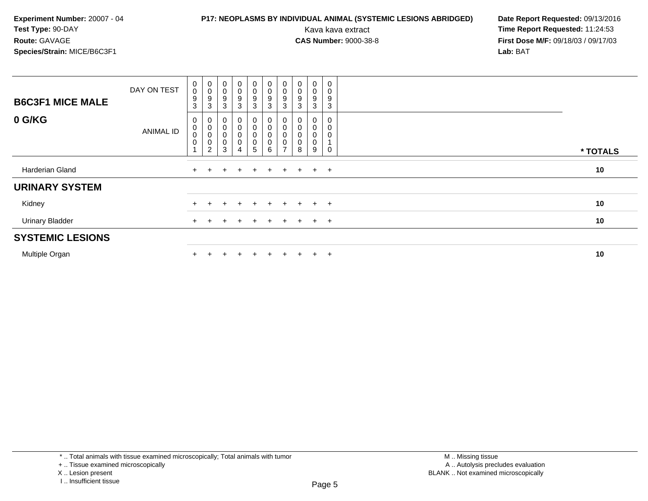### **P17: NEOPLASMS BY INDIVIDUAL ANIMAL (SYSTEMIC LESIONS ABRIDGED)** Date Report Requested: 09/13/2016<br>Kava kava extract **Time Report Requested:** 11:24:53

| <b>B6C3F1 MICE MALE</b> | DAY ON TEST      | $\begin{smallmatrix} 0\\0 \end{smallmatrix}$<br>$\boldsymbol{9}$<br>$\sqrt{3}$ | $_{\rm 0}^{\rm 0}$<br>9<br>3                                         | $\begin{smallmatrix}0\\0\end{smallmatrix}$<br>$\boldsymbol{9}$<br>3              | $\mathbf 0$<br>$\mathsf{O}\xspace$<br>$\boldsymbol{9}$<br>3 | $\begin{smallmatrix}0\0\0\end{smallmatrix}$<br>9<br>3 | $\begin{smallmatrix} 0\\0 \end{smallmatrix}$<br>$\boldsymbol{9}$<br>3 | $\begin{smallmatrix} 0\\0 \end{smallmatrix}$<br>$\boldsymbol{9}$<br>$\mathbf{3}$ | $\begin{smallmatrix}0\0\0\9\end{smallmatrix}$<br>3         | 0<br>0<br>9<br>3      | $\overline{0}$<br>0<br>9<br>3 |          |
|-------------------------|------------------|--------------------------------------------------------------------------------|----------------------------------------------------------------------|----------------------------------------------------------------------------------|-------------------------------------------------------------|-------------------------------------------------------|-----------------------------------------------------------------------|----------------------------------------------------------------------------------|------------------------------------------------------------|-----------------------|-------------------------------|----------|
| 0 G/KG                  | <b>ANIMAL ID</b> | 0<br>$\pmb{0}$<br>$\pmb{0}$<br>$\pmb{0}$                                       | $\begin{matrix}0\\0\\0\end{matrix}$<br>$\mathsf 0$<br>$\overline{c}$ | $\boldsymbol{0}$<br>$\begin{smallmatrix}0\\0\end{smallmatrix}$<br>$\pmb{0}$<br>3 | 0<br>$\pmb{0}$<br>$\pmb{0}$<br>$\pmb{0}$<br>4               | 0<br>0<br>$\mathbf 0$<br>$\mathbf 0$<br>5             | 0<br>$\pmb{0}$<br>$\pmb{0}$<br>$\mathbf 0$<br>6                       | $\pmb{0}$<br>$\pmb{0}$<br>$\pmb{0}$<br>$\rightarrow$                             | 0<br>$\begin{smallmatrix}0\0\0\end{smallmatrix}$<br>0<br>8 | 0<br>0<br>0<br>0<br>9 | 0<br>0<br>0                   | * TOTALS |
| Harderian Gland         |                  | $\ddot{}$                                                                      |                                                                      | $+$                                                                              | $\div$                                                      | $+$                                                   | $+$                                                                   | $+$                                                                              | $+$                                                        | $+$                   | $+$                           | 10       |
| <b>URINARY SYSTEM</b>   |                  |                                                                                |                                                                      |                                                                                  |                                                             |                                                       |                                                                       |                                                                                  |                                                            |                       |                               |          |
| Kidney                  |                  |                                                                                |                                                                      |                                                                                  |                                                             | $+$                                                   | $\div$                                                                | $+$                                                                              | $\div$                                                     | $+$                   | $+$                           | 10       |
| <b>Urinary Bladder</b>  |                  |                                                                                |                                                                      |                                                                                  |                                                             | $+$                                                   | $\pm$                                                                 | $+$                                                                              | $+$                                                        | $\ddot{}$             | $+$                           | 10       |
| <b>SYSTEMIC LESIONS</b> |                  |                                                                                |                                                                      |                                                                                  |                                                             |                                                       |                                                                       |                                                                                  |                                                            |                       |                               |          |
| Multiple Organ          |                  |                                                                                |                                                                      |                                                                                  |                                                             | $+$                                                   | $\div$                                                                |                                                                                  |                                                            | $\ddot{}$             | $+$                           | 10       |

I .. Insufficient tissue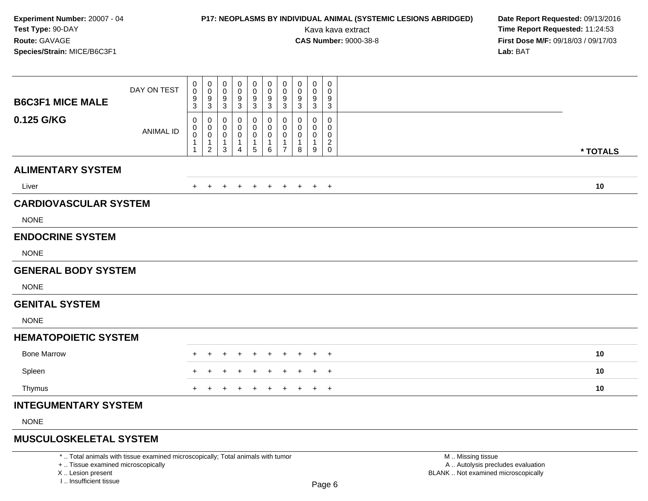### **P17: NEOPLASMS BY INDIVIDUAL ANIMAL (SYSTEMIC LESIONS ABRIDGED)** Date Report Requested: 09/13/2016<br>Kava kava extract **Time Report Requested:** 11:24:53

Kava kava extract **Time Report Requested:** 11:24:53<br>**CAS Number:** 9000-38-8 **Time Report Requested:** 11:24:53 **First Dose M/F:** 09/18/03 / 09/17/03<br>**Lab:** BAT **Lab:** BAT

| <b>B6C3F1 MICE MALE</b>      | DAY ON TEST      | 0<br>0<br>9<br>3                   | $\pmb{0}$<br>$\pmb{0}$<br>$\frac{9}{3}$                 | $\pmb{0}$<br>0<br>9<br>$\mathbf{3}$ | 0<br>0<br>9<br>$\mathbf{3}$        | $\mathbf 0$<br>0<br>9<br>$\mathbf{3}$ | $\pmb{0}$<br>0<br>9<br>3                    | $\mathbf 0$<br>$\mathbf 0$<br>9<br>$\mathbf{3}$                        | $\pmb{0}$<br>0<br>9<br>3 | $\mathbf 0$<br>0<br>9<br>3       | $\pmb{0}$<br>0<br>9<br>$\sqrt{3}$                               |          |
|------------------------------|------------------|------------------------------------|---------------------------------------------------------|-------------------------------------|------------------------------------|---------------------------------------|---------------------------------------------|------------------------------------------------------------------------|--------------------------|----------------------------------|-----------------------------------------------------------------|----------|
| 0.125 G/KG                   | <b>ANIMAL ID</b> | 0<br>0<br>$\pmb{0}$<br>$\mathbf 1$ | 0<br>0<br>$\mathbf 0$<br>$\mathbf{1}$<br>$\overline{2}$ | 0<br>0<br>0<br>$\mathbf{1}$<br>3    | 0<br>0<br>0<br>$\overline{1}$<br>4 | 0<br>0<br>0<br>$\mathbf 1$<br>5       | 0<br>$\mathbf 0$<br>$\pmb{0}$<br>1<br>$\,6$ | 0<br>$\mathbf 0$<br>$\boldsymbol{0}$<br>$\mathbf{1}$<br>$\overline{7}$ | 0<br>0<br>0<br>1<br>8    | 0<br>0<br>0<br>$\mathbf{1}$<br>9 | 0<br>$\mathbf 0$<br>0<br>$\overline{\mathbf{c}}$<br>$\mathbf 0$ | * TOTALS |
| <b>ALIMENTARY SYSTEM</b>     |                  |                                    |                                                         |                                     |                                    |                                       |                                             |                                                                        |                          |                                  |                                                                 |          |
| Liver                        |                  | +                                  |                                                         |                                     |                                    |                                       |                                             |                                                                        |                          | $+$                              | $+$                                                             | 10       |
| <b>CARDIOVASCULAR SYSTEM</b> |                  |                                    |                                                         |                                     |                                    |                                       |                                             |                                                                        |                          |                                  |                                                                 |          |
| <b>NONE</b>                  |                  |                                    |                                                         |                                     |                                    |                                       |                                             |                                                                        |                          |                                  |                                                                 |          |
| <b>ENDOCRINE SYSTEM</b>      |                  |                                    |                                                         |                                     |                                    |                                       |                                             |                                                                        |                          |                                  |                                                                 |          |
| <b>NONE</b>                  |                  |                                    |                                                         |                                     |                                    |                                       |                                             |                                                                        |                          |                                  |                                                                 |          |
| <b>GENERAL BODY SYSTEM</b>   |                  |                                    |                                                         |                                     |                                    |                                       |                                             |                                                                        |                          |                                  |                                                                 |          |
| <b>NONE</b>                  |                  |                                    |                                                         |                                     |                                    |                                       |                                             |                                                                        |                          |                                  |                                                                 |          |
| <b>GENITAL SYSTEM</b>        |                  |                                    |                                                         |                                     |                                    |                                       |                                             |                                                                        |                          |                                  |                                                                 |          |
| <b>NONE</b>                  |                  |                                    |                                                         |                                     |                                    |                                       |                                             |                                                                        |                          |                                  |                                                                 |          |
| <b>HEMATOPOIETIC SYSTEM</b>  |                  |                                    |                                                         |                                     |                                    |                                       |                                             |                                                                        |                          |                                  |                                                                 |          |
| <b>Bone Marrow</b>           |                  | +                                  |                                                         |                                     |                                    |                                       |                                             |                                                                        |                          |                                  | $\overline{1}$                                                  | 10       |
| Spleen                       |                  |                                    |                                                         |                                     |                                    |                                       |                                             |                                                                        |                          |                                  | $\overline{1}$                                                  | 10       |
| Thymus                       |                  | $\pm$                              |                                                         |                                     |                                    |                                       | $\ddot{}$                                   |                                                                        | $\pm$                    | $+$                              | $+$                                                             | 10       |
| <b>INTEGUMENTARY SYSTEM</b>  |                  |                                    |                                                         |                                     |                                    |                                       |                                             |                                                                        |                          |                                  |                                                                 |          |
| <b>NONE</b>                  |                  |                                    |                                                         |                                     |                                    |                                       |                                             |                                                                        |                          |                                  |                                                                 |          |
| MURAULAALELETAL AVATEM       |                  |                                    |                                                         |                                     |                                    |                                       |                                             |                                                                        |                          |                                  |                                                                 |          |

#### **MUSCULOSKELETAL SYSTEM**

\* .. Total animals with tissue examined microscopically; Total animals with tumor

+ .. Tissue examined microscopically

X .. Lesion present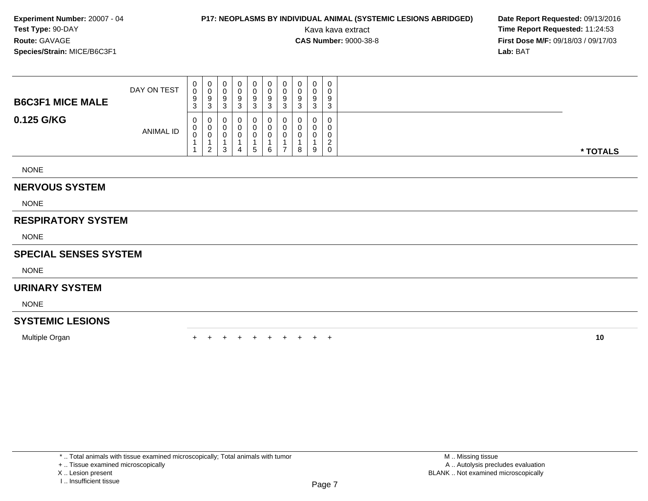### **P17: NEOPLASMS BY INDIVIDUAL ANIMAL (SYSTEMIC LESIONS ABRIDGED)** Date Report Requested: 09/13/2016<br>Kava kava extract **Time Report Requested:** 11:24:53

Kava kava extract **Time Report Requested:** 11:24:53<br>**CAS Number:** 9000-38-8 **Time Report Requested:** 11:24:53 **First Dose M/F:** 09/18/03 / 09/17/03<br>**Lab:** BAT **Lab:** BAT

| <b>B6C3F1 MICE MALE</b>      | DAY ON TEST | 0<br>0<br>9<br>3 | $\begin{smallmatrix} 0\\0 \end{smallmatrix}$<br>9<br>3 | 0<br>0<br>$\frac{9}{3}$                 | 0<br>9<br>$\mathbf{3}$ | 0<br>0<br>9<br>$\sqrt{3}$ | 0<br>$\pmb{0}$<br>9<br>3 | 0<br>0<br>9<br>3              | 0<br>0<br>9<br>3 | $\pmb{0}$<br>9<br>3 | 0<br>0<br>9<br>$\ensuremath{\mathsf{3}}$             |          |
|------------------------------|-------------|------------------|--------------------------------------------------------|-----------------------------------------|------------------------|---------------------------|--------------------------|-------------------------------|------------------|---------------------|------------------------------------------------------|----------|
| 0.125 G/KG                   | ANIMAL ID   | 0<br>0<br>0      | 0<br>$\pmb{0}$<br>2                                    | 0<br>$\boldsymbol{0}$<br>$\pmb{0}$<br>3 | 0<br>0<br>4            | 0<br>0<br>0<br>5          | 0<br>0<br>0<br>6         | 0<br>0<br>0<br>$\overline{7}$ | 0<br>0<br>8      | 0<br>0<br>9         | 0<br>0<br>$\pmb{0}$<br>$\overline{c}$<br>$\mathbf 0$ | * TOTALS |
| <b>NONE</b>                  |             |                  |                                                        |                                         |                        |                           |                          |                               |                  |                     |                                                      |          |
| <b>NERVOUS SYSTEM</b>        |             |                  |                                                        |                                         |                        |                           |                          |                               |                  |                     |                                                      |          |
| <b>NONE</b>                  |             |                  |                                                        |                                         |                        |                           |                          |                               |                  |                     |                                                      |          |
| <b>RESPIRATORY SYSTEM</b>    |             |                  |                                                        |                                         |                        |                           |                          |                               |                  |                     |                                                      |          |
| <b>NONE</b>                  |             |                  |                                                        |                                         |                        |                           |                          |                               |                  |                     |                                                      |          |
| <b>SPECIAL SENSES SYSTEM</b> |             |                  |                                                        |                                         |                        |                           |                          |                               |                  |                     |                                                      |          |
| <b>NONE</b>                  |             |                  |                                                        |                                         |                        |                           |                          |                               |                  |                     |                                                      |          |
| <b>URINARY SYSTEM</b>        |             |                  |                                                        |                                         |                        |                           |                          |                               |                  |                     |                                                      |          |
| <b>NONE</b>                  |             |                  |                                                        |                                         |                        |                           |                          |                               |                  |                     |                                                      |          |

#### **SYSTEMIC LESIONS**

Multiple Organ

n  $+$ <sup>+</sup> <sup>+</sup> <sup>+</sup> <sup>+</sup> <sup>+</sup> <sup>+</sup> <sup>+</sup> <sup>+</sup> <sup>+</sup> **<sup>10</sup>**

+ .. Tissue examined microscopically

X .. Lesion present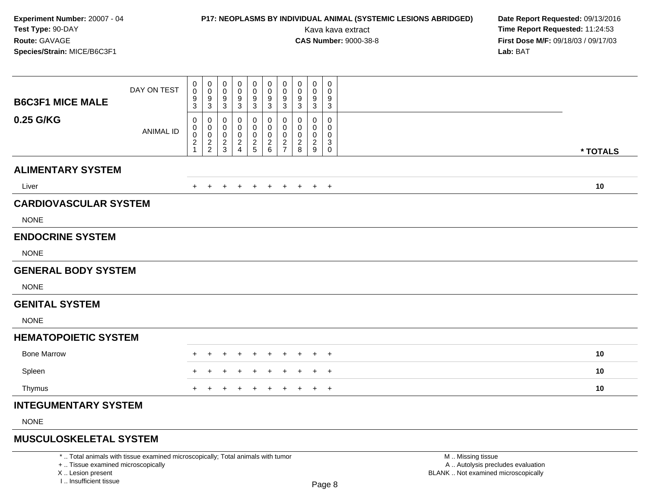### **P17: NEOPLASMS BY INDIVIDUAL ANIMAL (SYSTEMIC LESIONS ABRIDGED)** Date Report Requested: 09/13/2016<br>Kava kava extract **Time Report Requested:** 11:24:53

Kava kava extract **Time Report Requested:** 11:24:53<br>**CAS Number:** 9000-38-8 **Time Report Requested:** 11:24:53 **First Dose M/F:** 09/18/03 / 09/17/03<br>**Lab:** BAT **Lab:** BAT

| <b>B6C3F1 MICE MALE</b>      | DAY ON TEST      | 0<br>0<br>9<br>$\mathbf{3}$           | $\boldsymbol{0}$<br>$\mathbf 0$<br>$\boldsymbol{9}$<br>$\mathbf{3}$ | 0<br>$\mathbf 0$<br>$9\,$<br>$\mathbf{3}$ | 0<br>0<br>9<br>$\mathbf{3}$  | 0<br>0<br>9<br>3             | 0<br>0<br>9<br>$\mathbf{3}$  | $\pmb{0}$<br>$\mathbf 0$<br>9<br>3               | $\pmb{0}$<br>0<br>9<br>3                             | $\mathbf 0$<br>0<br>9<br>$\mathbf{3}$     | $\pmb{0}$<br>0<br>9<br>$\sqrt{3}$                  |          |
|------------------------------|------------------|---------------------------------------|---------------------------------------------------------------------|-------------------------------------------|------------------------------|------------------------------|------------------------------|--------------------------------------------------|------------------------------------------------------|-------------------------------------------|----------------------------------------------------|----------|
| 0.25 G/KG                    | <b>ANIMAL ID</b> | 0<br>0<br>$\pmb{0}$<br>$\overline{c}$ | 0<br>0<br>$\pmb{0}$<br>$\frac{2}{2}$                                | 0<br>0<br>$\mathbf 0$<br>$\frac{2}{3}$    | 0<br>0<br>0<br>$\frac{2}{4}$ | 0<br>0<br>0<br>$\frac{2}{5}$ | 0<br>0<br>0<br>$\frac{2}{6}$ | 0<br>$\mathbf 0$<br>$\mathbf 0$<br>$\frac{2}{7}$ | 0<br>$\mathbf 0$<br>$\pmb{0}$<br>$\overline{c}$<br>8 | $\Omega$<br>0<br>0<br>$\overline{2}$<br>9 | $\pmb{0}$<br>0<br>0<br>$\mathbf{3}$<br>$\mathsf 0$ | * TOTALS |
| <b>ALIMENTARY SYSTEM</b>     |                  |                                       |                                                                     |                                           |                              |                              |                              |                                                  |                                                      |                                           |                                                    |          |
| Liver                        |                  | $\ddot{}$                             | $\ddot{}$                                                           |                                           |                              |                              | $\ddot{}$                    | $\ddot{}$                                        | $\pm$                                                |                                           | $+$ $+$                                            | 10       |
| <b>CARDIOVASCULAR SYSTEM</b> |                  |                                       |                                                                     |                                           |                              |                              |                              |                                                  |                                                      |                                           |                                                    |          |
| <b>NONE</b>                  |                  |                                       |                                                                     |                                           |                              |                              |                              |                                                  |                                                      |                                           |                                                    |          |
| <b>ENDOCRINE SYSTEM</b>      |                  |                                       |                                                                     |                                           |                              |                              |                              |                                                  |                                                      |                                           |                                                    |          |
| <b>NONE</b>                  |                  |                                       |                                                                     |                                           |                              |                              |                              |                                                  |                                                      |                                           |                                                    |          |
| <b>GENERAL BODY SYSTEM</b>   |                  |                                       |                                                                     |                                           |                              |                              |                              |                                                  |                                                      |                                           |                                                    |          |
| <b>NONE</b>                  |                  |                                       |                                                                     |                                           |                              |                              |                              |                                                  |                                                      |                                           |                                                    |          |
| <b>GENITAL SYSTEM</b>        |                  |                                       |                                                                     |                                           |                              |                              |                              |                                                  |                                                      |                                           |                                                    |          |
| <b>NONE</b>                  |                  |                                       |                                                                     |                                           |                              |                              |                              |                                                  |                                                      |                                           |                                                    |          |
| <b>HEMATOPOIETIC SYSTEM</b>  |                  |                                       |                                                                     |                                           |                              |                              |                              |                                                  |                                                      |                                           |                                                    |          |
| <b>Bone Marrow</b>           |                  |                                       |                                                                     |                                           |                              |                              |                              |                                                  |                                                      |                                           | $\overline{ }$                                     | 10       |
| Spleen                       |                  |                                       |                                                                     |                                           |                              |                              |                              |                                                  |                                                      |                                           | $\overline{ }$                                     | 10       |
| Thymus                       |                  |                                       |                                                                     |                                           |                              |                              |                              |                                                  |                                                      |                                           | $\overline{+}$                                     | 10       |
| <b>INTEGUMENTARY SYSTEM</b>  |                  |                                       |                                                                     |                                           |                              |                              |                              |                                                  |                                                      |                                           |                                                    |          |
| <b>NONE</b>                  |                  |                                       |                                                                     |                                           |                              |                              |                              |                                                  |                                                      |                                           |                                                    |          |
|                              |                  |                                       |                                                                     |                                           |                              |                              |                              |                                                  |                                                      |                                           |                                                    |          |

#### **MUSCULOSKELETAL SYSTEM**

\* .. Total animals with tissue examined microscopically; Total animals with tumor

+ .. Tissue examined microscopically

X .. Lesion present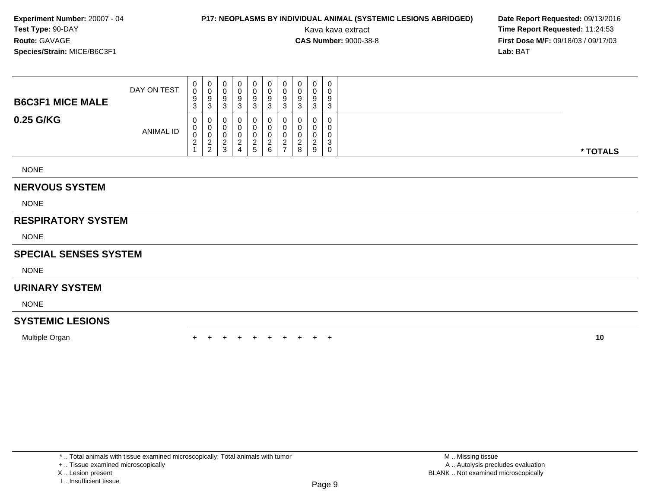### **P17: NEOPLASMS BY INDIVIDUAL ANIMAL (SYSTEMIC LESIONS ABRIDGED)** Date Report Requested: 09/13/2016<br>Kava kava extract **Time Report Requested:** 11:24:53

Kava kava extract **Time Report Requested:** 11:24:53<br>**CAS Number:** 9000-38-8 **Time Report Requested:** 11:24:53 **First Dose M/F:** 09/18/03 / 09/17/03<br>**Lab:** BAT **Lab:** BAT

| <b>B6C3F1 MICE MALE</b>      | DAY ON TEST | 0<br>0<br>9<br>3              | 0<br>$\mathbf 0$<br>$\boldsymbol{9}$<br>$\sqrt{3}$ | 0<br>0<br>$\boldsymbol{9}$<br>3             | 0<br>0<br>$\boldsymbol{9}$<br>3                                   | 0<br>0<br>9<br>3             | 0<br>0<br>9<br>3                                     | 0<br>0<br>$\boldsymbol{9}$<br>3                                | 0<br>0<br>9<br>3                            | 0<br>0<br>9<br>3         | 0<br>0<br>$\boldsymbol{9}$<br>$\sqrt{3}$ |          |
|------------------------------|-------------|-------------------------------|----------------------------------------------------|---------------------------------------------|-------------------------------------------------------------------|------------------------------|------------------------------------------------------|----------------------------------------------------------------|---------------------------------------------|--------------------------|------------------------------------------|----------|
| 0.25 G/KG                    | ANIMAL ID   | 0<br>0<br>0<br>$\overline{c}$ | 0<br>$\mathbf 0$<br>$\pmb{0}$<br>$\frac{2}{2}$     | 0<br>$\boldsymbol{0}$<br>0<br>$\frac{2}{3}$ | 0<br>$\pmb{0}$<br>$\pmb{0}$<br>$\boldsymbol{2}$<br>$\overline{4}$ | 0<br>0<br>0<br>$\frac{2}{5}$ | 0<br>0<br>0<br>$\begin{array}{c} 2 \\ 6 \end{array}$ | 0<br>$\boldsymbol{0}$<br>0<br>$\overline{c}$<br>$\overline{7}$ | 0<br>0<br>0<br>$\overline{\mathbf{c}}$<br>8 | 0<br>$\overline{c}$<br>9 | 0<br>0<br>0<br>$\sqrt{3}$<br>0           | * TOTALS |
| <b>NONE</b>                  |             |                               |                                                    |                                             |                                                                   |                              |                                                      |                                                                |                                             |                          |                                          |          |
| <b>NERVOUS SYSTEM</b>        |             |                               |                                                    |                                             |                                                                   |                              |                                                      |                                                                |                                             |                          |                                          |          |
| <b>NONE</b>                  |             |                               |                                                    |                                             |                                                                   |                              |                                                      |                                                                |                                             |                          |                                          |          |
| <b>RESPIRATORY SYSTEM</b>    |             |                               |                                                    |                                             |                                                                   |                              |                                                      |                                                                |                                             |                          |                                          |          |
| <b>NONE</b>                  |             |                               |                                                    |                                             |                                                                   |                              |                                                      |                                                                |                                             |                          |                                          |          |
| <b>SPECIAL SENSES SYSTEM</b> |             |                               |                                                    |                                             |                                                                   |                              |                                                      |                                                                |                                             |                          |                                          |          |
| <b>NONE</b>                  |             |                               |                                                    |                                             |                                                                   |                              |                                                      |                                                                |                                             |                          |                                          |          |
| <b>URINARY SYSTEM</b>        |             |                               |                                                    |                                             |                                                                   |                              |                                                      |                                                                |                                             |                          |                                          |          |

NONE

#### **SYSTEMIC LESIONS**

Multiple Organ

n  $+$ <sup>+</sup> <sup>+</sup> <sup>+</sup> <sup>+</sup> <sup>+</sup> <sup>+</sup> <sup>+</sup> <sup>+</sup> <sup>+</sup> **<sup>10</sup>**

\* .. Total animals with tissue examined microscopically; Total animals with tumor

+ .. Tissue examined microscopically

X .. Lesion present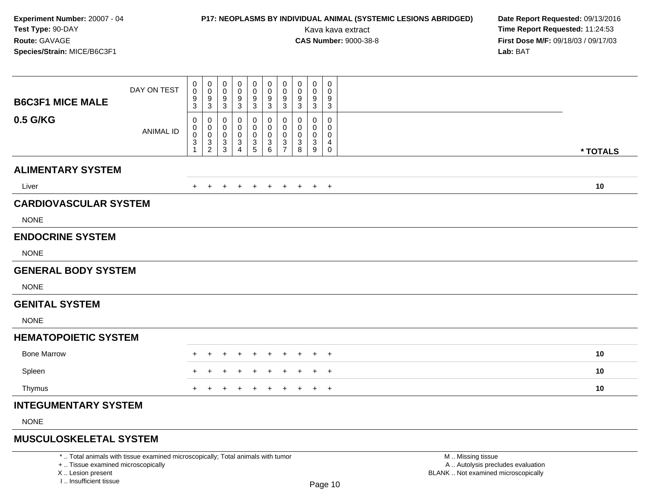### **P17: NEOPLASMS BY INDIVIDUAL ANIMAL (SYSTEMIC LESIONS ABRIDGED)** Date Report Requested: 09/13/2016<br>Kava kava extract **Time Report Requested:** 11:24:53

Kava kava extract **Time Report Requested:** 11:24:53<br>**CAS Number:** 9000-38-8 **Time Report Requested:** 11:24:53 **First Dose M/F:** 09/18/03 / 09/17/03<br>**Lab:** BAT **Lab:** BAT

| <b>B6C3F1 MICE MALE</b>      | DAY ON TEST      | 0<br>$\pmb{0}$<br>$\frac{9}{3}$                       | 0<br>$\mathbf 0$<br>$\boldsymbol{9}$<br>$\mathbf{3}$ | $\pmb{0}$<br>0<br>$\boldsymbol{9}$<br>$\mathbf{3}$ | 0<br>0<br>9<br>3               | 0<br>0<br>9<br>$\mathbf{3}$  | 0<br>0<br>9<br>3                                                          | 0<br>$\mathbf 0$<br>9<br>$\ensuremath{\mathsf{3}}$    | $\mathbf 0$<br>0<br>9<br>$\mathbf{3}$ | $\pmb{0}$<br>0<br>9<br>$\sqrt{3}$ | $\mathbf 0$<br>$\mathbf 0$<br>9<br>$\mathbf{3}$        |          |
|------------------------------|------------------|-------------------------------------------------------|------------------------------------------------------|----------------------------------------------------|--------------------------------|------------------------------|---------------------------------------------------------------------------|-------------------------------------------------------|---------------------------------------|-----------------------------------|--------------------------------------------------------|----------|
| 0.5 G/KG                     | <b>ANIMAL ID</b> | 0<br>0<br>$\pmb{0}$<br>$\ensuremath{\mathsf{3}}$<br>1 | 0<br>$\mathbf 0$<br>$\mathbf 0$<br>$\frac{3}{2}$     | 0<br>0<br>$\mathbf 0$<br>$\frac{3}{3}$             | 0<br>0<br>0<br>$\sqrt{3}$<br>4 | 0<br>0<br>0<br>$\frac{3}{5}$ | 0<br>$\boldsymbol{0}$<br>0<br>$\ensuremath{\mathsf{3}}$<br>$6\phantom{a}$ | 0<br>$\pmb{0}$<br>0<br>$\mathbf{3}$<br>$\overline{7}$ | 0<br>0<br>0<br>$\sqrt{3}$<br>8        | 0<br>0<br>0<br>$\frac{3}{9}$      | 0<br>0<br>$\mathbf 0$<br>$\overline{4}$<br>$\mathbf 0$ |          |
|                              |                  |                                                       |                                                      |                                                    |                                |                              |                                                                           |                                                       |                                       |                                   |                                                        | * TOTALS |
| <b>ALIMENTARY SYSTEM</b>     |                  |                                                       |                                                      |                                                    |                                |                              |                                                                           |                                                       |                                       |                                   |                                                        |          |
| Liver                        |                  | $\ddot{}$                                             | $\ddot{}$                                            | $\div$                                             |                                |                              | $\ddot{}$                                                                 | $+$                                                   | $+$                                   |                                   | $+$ $+$                                                | 10       |
| <b>CARDIOVASCULAR SYSTEM</b> |                  |                                                       |                                                      |                                                    |                                |                              |                                                                           |                                                       |                                       |                                   |                                                        |          |
| <b>NONE</b>                  |                  |                                                       |                                                      |                                                    |                                |                              |                                                                           |                                                       |                                       |                                   |                                                        |          |
| <b>ENDOCRINE SYSTEM</b>      |                  |                                                       |                                                      |                                                    |                                |                              |                                                                           |                                                       |                                       |                                   |                                                        |          |
| <b>NONE</b>                  |                  |                                                       |                                                      |                                                    |                                |                              |                                                                           |                                                       |                                       |                                   |                                                        |          |
| <b>GENERAL BODY SYSTEM</b>   |                  |                                                       |                                                      |                                                    |                                |                              |                                                                           |                                                       |                                       |                                   |                                                        |          |
| <b>NONE</b>                  |                  |                                                       |                                                      |                                                    |                                |                              |                                                                           |                                                       |                                       |                                   |                                                        |          |
| <b>GENITAL SYSTEM</b>        |                  |                                                       |                                                      |                                                    |                                |                              |                                                                           |                                                       |                                       |                                   |                                                        |          |
| <b>NONE</b>                  |                  |                                                       |                                                      |                                                    |                                |                              |                                                                           |                                                       |                                       |                                   |                                                        |          |
| <b>HEMATOPOIETIC SYSTEM</b>  |                  |                                                       |                                                      |                                                    |                                |                              |                                                                           |                                                       |                                       |                                   |                                                        |          |
| <b>Bone Marrow</b>           |                  | $\div$                                                |                                                      |                                                    |                                |                              | $\div$                                                                    |                                                       | $\ddot{}$                             | $+$                               | $^{+}$                                                 | 10       |
| Spleen                       |                  |                                                       |                                                      |                                                    |                                |                              |                                                                           |                                                       |                                       |                                   | $\overline{1}$                                         | 10       |
| Thymus                       |                  | $+$                                                   | $\pm$                                                |                                                    |                                |                              | $\div$                                                                    | $\pm$                                                 | $+$                                   | $+$                               | $+$                                                    | 10       |
| <b>INTEGUMENTARY SYSTEM</b>  |                  |                                                       |                                                      |                                                    |                                |                              |                                                                           |                                                       |                                       |                                   |                                                        |          |
| <b>NONE</b>                  |                  |                                                       |                                                      |                                                    |                                |                              |                                                                           |                                                       |                                       |                                   |                                                        |          |
|                              |                  |                                                       |                                                      |                                                    |                                |                              |                                                                           |                                                       |                                       |                                   |                                                        |          |

### **MUSCULOSKELETAL SYSTEM**

\* .. Total animals with tissue examined microscopically; Total animals with tumor

+ .. Tissue examined microscopically

X .. Lesion present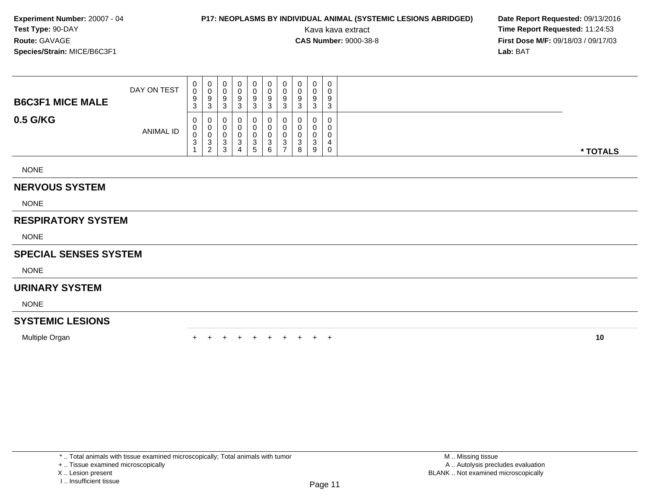### **P17: NEOPLASMS BY INDIVIDUAL ANIMAL (SYSTEMIC LESIONS ABRIDGED)** Date Report Requested: 09/13/2016<br>Kava kava extract **Time Report Requested:** 11:24:53

Kava kava extract **Time Report Requested:** 11:24:53<br>**CAS Number:** 9000-38-8 **Time Report Requested:** 11:24:53 **First Dose M/F:** 09/18/03 / 09/17/03<br>**Lab: BAT Lab:** BAT

|                              | DAY ON TEST | $\mathbf{0}$<br>$\boldsymbol{0}$ | 0<br>$\pmb{0}$                           | $\pmb{0}$               | 0<br>0           |        |        |                | $\mathbf 0$      | 0                 | $\mathbf 0$<br>0           |          |
|------------------------------|-------------|----------------------------------|------------------------------------------|-------------------------|------------------|--------|--------|----------------|------------------|-------------------|----------------------------|----------|
| <b>B6C3F1 MICE MALE</b>      |             | 9<br>3                           | 9<br>3                                   | 9<br>$\mathbf{3}$       | 9<br>3           | 9<br>3 | 9<br>3 | 9<br>3         | 9<br>3           | 9<br>$\mathbf{3}$ | 9<br>$\sqrt{3}$            |          |
| 0.5 G/KG                     | ANIMAL ID   | 0<br>0<br>$\pmb{0}$<br>3         | 0<br>0<br>0<br>$\ensuremath{\mathsf{3}}$ | $\pmb{0}$<br>$\sqrt{3}$ | 0<br>0<br>0<br>3 | 0<br>3 | 0<br>3 | 0<br>3         | 0<br>0<br>0<br>3 | 0<br>3            | 0<br>0<br>$\mathbf 0$<br>4 |          |
|                              |             |                                  | $\overline{c}$                           | 3                       | 4                | 5      | 6      | $\overline{ }$ | 8                | 9                 | $\mathbf 0$                | * TOTALS |
| <b>NONE</b>                  |             |                                  |                                          |                         |                  |        |        |                |                  |                   |                            |          |
| <b>NERVOUS SYSTEM</b>        |             |                                  |                                          |                         |                  |        |        |                |                  |                   |                            |          |
| <b>NONE</b>                  |             |                                  |                                          |                         |                  |        |        |                |                  |                   |                            |          |
| <b>RESPIRATORY SYSTEM</b>    |             |                                  |                                          |                         |                  |        |        |                |                  |                   |                            |          |
| <b>NONE</b>                  |             |                                  |                                          |                         |                  |        |        |                |                  |                   |                            |          |
| <b>SPECIAL SENSES SYSTEM</b> |             |                                  |                                          |                         |                  |        |        |                |                  |                   |                            |          |

NONE

#### **URINARY SYSTEM**

NONE

#### **SYSTEMIC LESIONS**

Multiple Organ

n  $+$ <sup>+</sup> <sup>+</sup> <sup>+</sup> <sup>+</sup> <sup>+</sup> <sup>+</sup> <sup>+</sup> <sup>+</sup> <sup>+</sup> **<sup>10</sup>**

\* .. Total animals with tissue examined microscopically; Total animals with tumor

+ .. Tissue examined microscopically

X .. Lesion present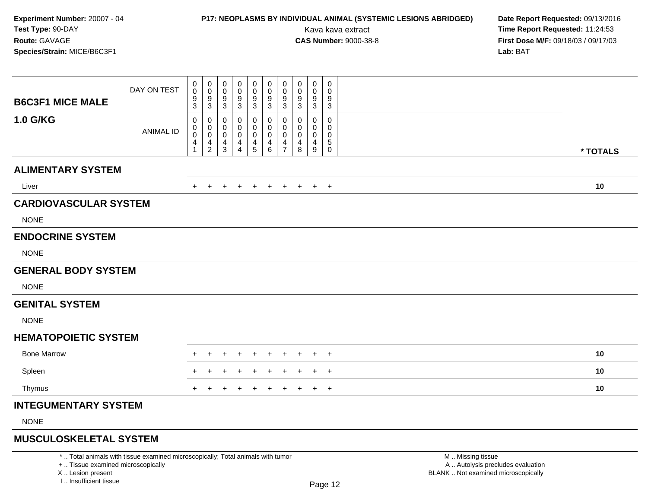### **P17: NEOPLASMS BY INDIVIDUAL ANIMAL (SYSTEMIC LESIONS ABRIDGED)** Date Report Requested: 09/13/2016<br>Kava kava extract **Time Report Requested:** 11:24:53

Kava kava extract **Time Report Requested:** 11:24:53<br>**CAS Number:** 9000-38-8 **Time Report Requested:** 11:24:53 **First Dose M/F:** 09/18/03 / 09/17/03<br>**Lab:** BAT **Lab:** BAT

| <b>B6C3F1 MICE MALE</b>      | DAY ON TEST      | 0<br>0<br>9<br>$\overline{3}$ | 0<br>$\mathbf 0$<br>9<br>$\sqrt{3}$                       | $\mathbf 0$<br>$\mathbf 0$<br>$\boldsymbol{9}$<br>$\mathbf{3}$ | 0<br>0<br>9<br>$\sqrt{3}$ | 0<br>0<br>9<br>$\sqrt{3}$     | 0<br>0<br>9<br>$\ensuremath{\mathsf{3}}$   | 0<br>$\mathbf 0$<br>9<br>$\sqrt{3}$                     | $\pmb{0}$<br>0<br>9<br>$\mathfrak{S}$ | 0<br>0<br>9<br>$\mathbf{3}$ | $\mathbf 0$<br>$\mathbf 0$<br>9<br>$\sqrt{3}$              |          |
|------------------------------|------------------|-------------------------------|-----------------------------------------------------------|----------------------------------------------------------------|---------------------------|-------------------------------|--------------------------------------------|---------------------------------------------------------|---------------------------------------|-----------------------------|------------------------------------------------------------|----------|
| 1.0 G/KG                     | <b>ANIMAL ID</b> | 0<br>0<br>$\pmb{0}$<br>4<br>1 | 0<br>0<br>$\mathbf 0$<br>$\overline{4}$<br>$\overline{2}$ | 0<br>0<br>$\boldsymbol{0}$<br>$\overline{4}$<br>3              | 0<br>0<br>0<br>4<br>4     | 0<br>0<br>$\pmb{0}$<br>4<br>5 | 0<br>0<br>$\pmb{0}$<br>$\overline{4}$<br>6 | 0<br>0<br>$\pmb{0}$<br>$\overline{4}$<br>$\overline{7}$ | 0<br>0<br>0<br>4<br>8                 | 0<br>0<br>0<br>4<br>9       | $\mathbf 0$<br>0<br>$\pmb{0}$<br>$\sqrt{5}$<br>$\mathbf 0$ | * TOTALS |
| <b>ALIMENTARY SYSTEM</b>     |                  |                               |                                                           |                                                                |                           |                               |                                            |                                                         |                                       |                             |                                                            |          |
|                              |                  |                               |                                                           |                                                                |                           |                               |                                            |                                                         |                                       |                             |                                                            |          |
| Liver                        |                  | $\ddot{}$                     | $+$                                                       | $\overline{+}$                                                 | $\ddot{}$                 | $\pm$                         | $^{+}$                                     | $+$                                                     | $+$                                   |                             | $+$ $+$                                                    | 10       |
| <b>CARDIOVASCULAR SYSTEM</b> |                  |                               |                                                           |                                                                |                           |                               |                                            |                                                         |                                       |                             |                                                            |          |
| <b>NONE</b>                  |                  |                               |                                                           |                                                                |                           |                               |                                            |                                                         |                                       |                             |                                                            |          |
| <b>ENDOCRINE SYSTEM</b>      |                  |                               |                                                           |                                                                |                           |                               |                                            |                                                         |                                       |                             |                                                            |          |
| <b>NONE</b>                  |                  |                               |                                                           |                                                                |                           |                               |                                            |                                                         |                                       |                             |                                                            |          |
| <b>GENERAL BODY SYSTEM</b>   |                  |                               |                                                           |                                                                |                           |                               |                                            |                                                         |                                       |                             |                                                            |          |
| <b>NONE</b>                  |                  |                               |                                                           |                                                                |                           |                               |                                            |                                                         |                                       |                             |                                                            |          |
| <b>GENITAL SYSTEM</b>        |                  |                               |                                                           |                                                                |                           |                               |                                            |                                                         |                                       |                             |                                                            |          |
| <b>NONE</b>                  |                  |                               |                                                           |                                                                |                           |                               |                                            |                                                         |                                       |                             |                                                            |          |
| <b>HEMATOPOIETIC SYSTEM</b>  |                  |                               |                                                           |                                                                |                           |                               |                                            |                                                         |                                       |                             |                                                            |          |
| <b>Bone Marrow</b>           |                  | $\pm$                         |                                                           |                                                                |                           |                               | $\overline{ }$                             | $\pm$                                                   | $+$                                   | $\pm$                       | $+$                                                        | 10       |
| Spleen                       |                  |                               |                                                           |                                                                |                           |                               |                                            |                                                         | ÷                                     | +                           | $+$                                                        | 10       |
| Thymus                       |                  | $+$                           | $\ddot{}$                                                 |                                                                |                           | $\ddot{}$                     | $\ddot{}$                                  | $\pm$                                                   | $+$                                   | $+$                         | $+$                                                        | 10       |
| <b>INTEGUMENTARY SYSTEM</b>  |                  |                               |                                                           |                                                                |                           |                               |                                            |                                                         |                                       |                             |                                                            |          |
| <b>NONE</b>                  |                  |                               |                                                           |                                                                |                           |                               |                                            |                                                         |                                       |                             |                                                            |          |
|                              |                  |                               |                                                           |                                                                |                           |                               |                                            |                                                         |                                       |                             |                                                            |          |

### **MUSCULOSKELETAL SYSTEM**

\* .. Total animals with tissue examined microscopically; Total animals with tumor

+ .. Tissue examined microscopically

X .. Lesion present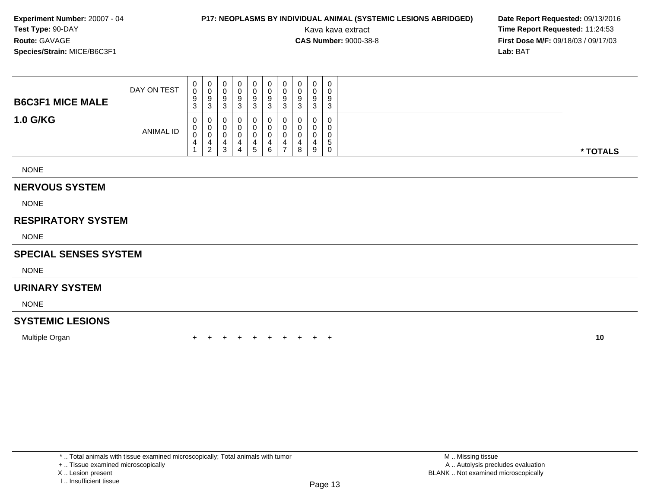### **P17: NEOPLASMS BY INDIVIDUAL ANIMAL (SYSTEMIC LESIONS ABRIDGED)** Date Report Requested: 09/13/2016<br>Kava kava extract **Time Report Requested:** 11:24:53

Kava kava extract **Time Report Requested:** 11:24:53<br>**CAS Number:** 9000-38-8 **Time Report Requested:** 11:24:53 **First Dose M/F:** 09/18/03 / 09/17/03<br>**Lab:** BAT **Lab:** BAT

| <b>B6C3F1 MICE MALE</b>      | DAY ON TEST | 0<br>0<br>9<br>3 | $_0^0$<br>9<br>3                                            | 0<br>$\mathbf 0$<br>9<br>$\mathbf{3}$              | 0<br>0<br>9<br>3 | 0<br>0<br>9<br>3                                          | 0<br>$\pmb{0}$<br>9<br>3 | 0<br>0<br>9<br>3                   | 0<br>$\mathbf 0$<br>9<br>3 | 0<br>9<br>3 | $\pmb{0}$<br>0<br>9<br>$\ensuremath{\mathsf{3}}$ |          |
|------------------------------|-------------|------------------|-------------------------------------------------------------|----------------------------------------------------|------------------|-----------------------------------------------------------|--------------------------|------------------------------------|----------------------------|-------------|--------------------------------------------------|----------|
| <b>1.0 G/KG</b>              | ANIMAL ID   | 0<br>0<br>0<br>4 | 0<br>$\pmb{0}$<br>$\overline{\mathbf{r}}$<br>$\overline{2}$ | $\boldsymbol{0}$<br>$\pmb{0}$<br>4<br>$\mathbf{3}$ | 0<br>0<br>4<br>4 | 0<br>$\boldsymbol{0}$<br>$\pmb{0}$<br>4<br>$\overline{5}$ | 0<br>0<br>0<br>4<br>6    | 0<br>0<br>0<br>4<br>$\overline{z}$ | 0<br>0<br>4<br>8           | 0<br>0<br>9 | 0<br>0<br>0<br>5<br>$\mathbf 0$                  | * TOTALS |
| <b>NONE</b>                  |             |                  |                                                             |                                                    |                  |                                                           |                          |                                    |                            |             |                                                  |          |
| <b>NERVOUS SYSTEM</b>        |             |                  |                                                             |                                                    |                  |                                                           |                          |                                    |                            |             |                                                  |          |
| <b>NONE</b>                  |             |                  |                                                             |                                                    |                  |                                                           |                          |                                    |                            |             |                                                  |          |
| <b>RESPIRATORY SYSTEM</b>    |             |                  |                                                             |                                                    |                  |                                                           |                          |                                    |                            |             |                                                  |          |
| <b>NONE</b>                  |             |                  |                                                             |                                                    |                  |                                                           |                          |                                    |                            |             |                                                  |          |
| <b>SPECIAL SENSES SYSTEM</b> |             |                  |                                                             |                                                    |                  |                                                           |                          |                                    |                            |             |                                                  |          |
| <b>NONE</b>                  |             |                  |                                                             |                                                    |                  |                                                           |                          |                                    |                            |             |                                                  |          |
| <b>URINARY SYSTEM</b>        |             |                  |                                                             |                                                    |                  |                                                           |                          |                                    |                            |             |                                                  |          |
| <b>NONE</b>                  |             |                  |                                                             |                                                    |                  |                                                           |                          |                                    |                            |             |                                                  |          |

#### **SYSTEMIC LESIONS**

Multiple Organ

n  $+$ <sup>+</sup> <sup>+</sup> <sup>+</sup> <sup>+</sup> <sup>+</sup> <sup>+</sup> <sup>+</sup> <sup>+</sup> <sup>+</sup> **<sup>10</sup>**

\* .. Total animals with tissue examined microscopically; Total animals with tumor

+ .. Tissue examined microscopically

X .. Lesion present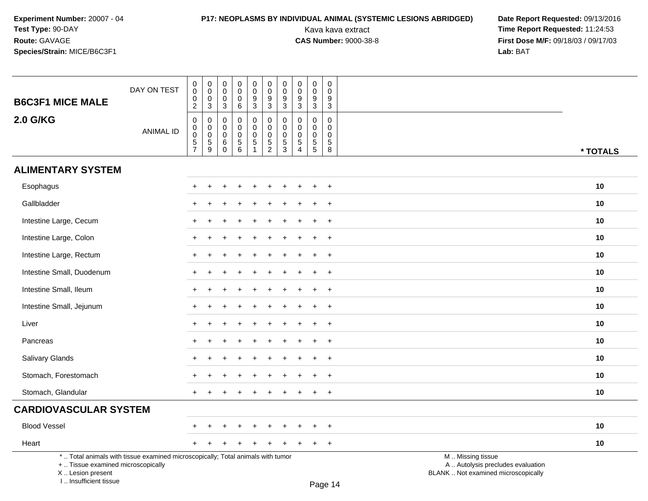I .. Insufficient tissue

## **P17: NEOPLASMS BY INDIVIDUAL ANIMAL (SYSTEMIC LESIONS ABRIDGED) Date Report Requested: 09/13/2016<br>Kava kava extract <b>Time Report Requested:** 11:24:53

| <b>B6C3F1 MICE MALE</b>                                                                                                                    | DAY ON TEST      | $\pmb{0}$<br>$\pmb{0}$<br>$\mathbf 0$<br>$\overline{2}$    | $_{\rm 0}^{\rm 0}$<br>$\pmb{0}$<br>$\mathbf{3}$      | $\,0\,$<br>$\mathbf 0$<br>$\mathbf 0$<br>3                 | $\pmb{0}$<br>$\pmb{0}$<br>$\mathbf 0$<br>6                       | $\pmb{0}$<br>$\mathsf{O}\xspace$<br>$\overline{9}$<br>3                       | $\pmb{0}$<br>$\mathsf{O}\xspace$<br>$\boldsymbol{9}$<br>$\mathbf{3}$ | $\pmb{0}$<br>$\mathbf 0$<br>9<br>3           | $\pmb{0}$<br>$\pmb{0}$<br>$\frac{9}{3}$                        | $\mathbf 0$<br>$\mathbf 0$<br>9<br>$\mathbf{3}$                         | $\pmb{0}$<br>$\mathbf 0$<br>9<br>3                     |                                                                                               |
|--------------------------------------------------------------------------------------------------------------------------------------------|------------------|------------------------------------------------------------|------------------------------------------------------|------------------------------------------------------------|------------------------------------------------------------------|-------------------------------------------------------------------------------|----------------------------------------------------------------------|----------------------------------------------|----------------------------------------------------------------|-------------------------------------------------------------------------|--------------------------------------------------------|-----------------------------------------------------------------------------------------------|
| <b>2.0 G/KG</b>                                                                                                                            | <b>ANIMAL ID</b> | $\mathbf 0$<br>$\mathbf 0$<br>$\mathsf 0$<br>$\frac{5}{7}$ | $\mathbf 0$<br>$\pmb{0}$<br>$\overline{0}$<br>5<br>9 | $\mathbf 0$<br>$\mathbf 0$<br>$\mathbf 0$<br>6<br>$\Omega$ | $\mathbf 0$<br>$\mathbf 0$<br>$\mathbf 0$<br>5<br>$\overline{6}$ | $\mathbf 0$<br>$\mathsf{O}\xspace$<br>$\pmb{0}$<br>$\sqrt{5}$<br>$\mathbf{1}$ | $\boldsymbol{0}$<br>$\mathbf 0$<br>$\pmb{0}$<br>$\frac{5}{2}$        | 0<br>$\pmb{0}$<br>$\pmb{0}$<br>$\frac{5}{3}$ | 0<br>$\mathbf 0$<br>$\pmb{0}$<br>$\,$ 5 $\,$<br>$\overline{4}$ | $\pmb{0}$<br>$\mathbf 0$<br>$\mathbf 0$<br>$\sqrt{5}$<br>$\overline{5}$ | $\mathbf 0$<br>0<br>$\mathbf 0$<br>5<br>$\overline{8}$ | * TOTALS                                                                                      |
| <b>ALIMENTARY SYSTEM</b>                                                                                                                   |                  |                                                            |                                                      |                                                            |                                                                  |                                                                               |                                                                      |                                              |                                                                |                                                                         |                                                        |                                                                                               |
| Esophagus                                                                                                                                  |                  |                                                            |                                                      |                                                            |                                                                  |                                                                               |                                                                      |                                              |                                                                |                                                                         | $\ddot{}$                                              | 10                                                                                            |
| Gallbladder                                                                                                                                |                  |                                                            |                                                      |                                                            |                                                                  |                                                                               |                                                                      |                                              |                                                                |                                                                         | $\ddot{}$                                              | 10                                                                                            |
| Intestine Large, Cecum                                                                                                                     |                  |                                                            |                                                      |                                                            |                                                                  |                                                                               |                                                                      |                                              |                                                                | ÷                                                                       | $\overline{+}$                                         | 10                                                                                            |
| Intestine Large, Colon                                                                                                                     |                  |                                                            |                                                      |                                                            |                                                                  |                                                                               |                                                                      |                                              |                                                                |                                                                         | $\ddot{}$                                              | 10                                                                                            |
| Intestine Large, Rectum                                                                                                                    |                  |                                                            |                                                      |                                                            |                                                                  |                                                                               |                                                                      |                                              |                                                                |                                                                         | $\ddot{}$                                              | 10                                                                                            |
| Intestine Small, Duodenum                                                                                                                  |                  | $\div$                                                     |                                                      |                                                            |                                                                  |                                                                               |                                                                      |                                              |                                                                | $\ddot{}$                                                               | $+$                                                    | 10                                                                                            |
| Intestine Small, Ileum                                                                                                                     |                  |                                                            |                                                      |                                                            |                                                                  |                                                                               |                                                                      |                                              |                                                                |                                                                         | $\overline{+}$                                         | 10                                                                                            |
| Intestine Small, Jejunum                                                                                                                   |                  |                                                            |                                                      |                                                            |                                                                  |                                                                               |                                                                      |                                              |                                                                |                                                                         | $+$                                                    | 10                                                                                            |
| Liver                                                                                                                                      |                  |                                                            |                                                      |                                                            |                                                                  |                                                                               |                                                                      |                                              |                                                                |                                                                         | $\overline{+}$                                         | 10                                                                                            |
| Pancreas                                                                                                                                   |                  |                                                            |                                                      |                                                            |                                                                  |                                                                               |                                                                      |                                              |                                                                |                                                                         | $\overline{+}$                                         | 10                                                                                            |
| Salivary Glands                                                                                                                            |                  |                                                            |                                                      |                                                            |                                                                  |                                                                               |                                                                      |                                              |                                                                | ÷.                                                                      | $+$                                                    | 10                                                                                            |
| Stomach, Forestomach                                                                                                                       |                  |                                                            |                                                      |                                                            |                                                                  |                                                                               |                                                                      |                                              |                                                                |                                                                         | $\ddot{}$                                              | 10                                                                                            |
| Stomach, Glandular                                                                                                                         |                  |                                                            |                                                      |                                                            |                                                                  |                                                                               |                                                                      |                                              |                                                                |                                                                         | $+$                                                    | 10                                                                                            |
| <b>CARDIOVASCULAR SYSTEM</b>                                                                                                               |                  |                                                            |                                                      |                                                            |                                                                  |                                                                               |                                                                      |                                              |                                                                |                                                                         |                                                        |                                                                                               |
| <b>Blood Vessel</b>                                                                                                                        |                  |                                                            |                                                      |                                                            |                                                                  |                                                                               |                                                                      |                                              |                                                                |                                                                         | $\ddot{}$                                              | 10                                                                                            |
| Heart                                                                                                                                      |                  |                                                            |                                                      |                                                            |                                                                  |                                                                               |                                                                      |                                              |                                                                | $\ddot{}$                                                               | $+$                                                    | 10                                                                                            |
| *  Total animals with tissue examined microscopically; Total animals with tumor<br>+  Tissue examined microscopically<br>X  Lesion present |                  |                                                            |                                                      |                                                            |                                                                  |                                                                               |                                                                      |                                              |                                                                |                                                                         |                                                        | M  Missing tissue<br>A  Autolysis precludes evaluation<br>BLANK  Not examined microscopically |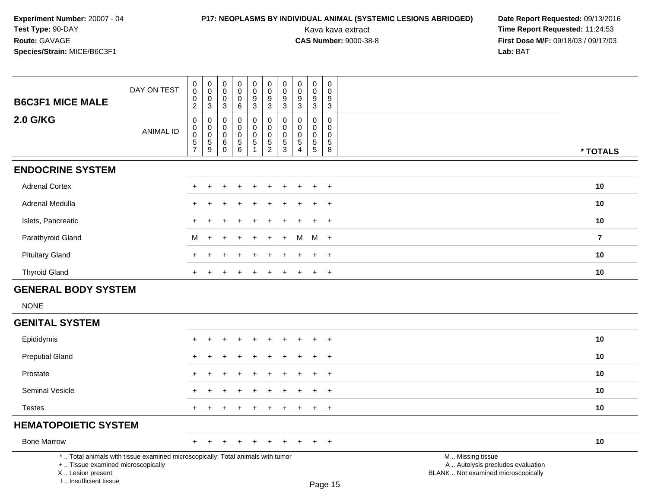### **P17: NEOPLASMS BY INDIVIDUAL ANIMAL (SYSTEMIC LESIONS ABRIDGED)** Date Report Requested: 09/13/2016<br>Kava kava extract **Time Report Requested:** 11:24:53

Kava kava extract **Time Report Requested:** 11:24:53<br>**CAS Number:** 9000-38-8 **Time Report Requested:** 11:24:53 **First Dose M/F:** 09/18/03 / 09/17/03<br>**Lab:** BAT **Lab:** BAT

| <b>B6C3F1 MICE MALE</b>                   | DAY ON TEST      | $\pmb{0}$<br>$\overline{0}$<br>$\pmb{0}$<br>$\overline{2}$                               | $\begin{smallmatrix}0\0\0\end{smallmatrix}$<br>$\frac{0}{3}$                  | $\mathbf 0$<br>$\mathsf{O}\xspace$<br>$\mathbf 0$<br>3 | $\boldsymbol{0}$<br>$\pmb{0}$<br>$\pmb{0}$<br>6                          | $_{\rm 0}^{\rm 0}$<br>$\frac{9}{3}$               | $\begin{matrix} 0 \\ 0 \\ 9 \\ 3 \end{matrix}$              | $\begin{smallmatrix} 0\\0 \end{smallmatrix}$<br>$\frac{9}{3}$ | 0<br>$\pmb{0}$<br>$\frac{9}{3}$              | $\mathbf 0$<br>$\mathbf 0$<br>$\frac{9}{3}$                 | $\mathbf 0$<br>$\mathbf 0$<br>9<br>$\mathbf{3}$          |                |
|-------------------------------------------|------------------|------------------------------------------------------------------------------------------|-------------------------------------------------------------------------------|--------------------------------------------------------|--------------------------------------------------------------------------|---------------------------------------------------|-------------------------------------------------------------|---------------------------------------------------------------|----------------------------------------------|-------------------------------------------------------------|----------------------------------------------------------|----------------|
| <b>2.0 G/KG</b>                           | <b>ANIMAL ID</b> | $\pmb{0}$<br>$\begin{smallmatrix}0\\0\end{smallmatrix}$<br>$\mathbf 5$<br>$\overline{7}$ | $\pmb{0}$<br>$\begin{smallmatrix} 0\\0 \end{smallmatrix}$<br>$\,$ 5 $\,$<br>9 | 0<br>0<br>0<br>$\,6$<br>0                              | $\mathbf 0$<br>0<br>$\mathbf 0$<br>$\begin{array}{c} 5 \\ 6 \end{array}$ | $\pmb{0}$<br>$\pmb{0}$<br>$\pmb{0}$<br>$\sqrt{5}$ | $\pmb{0}$<br>$\begin{matrix} 0 \\ 0 \\ 5 \\ 2 \end{matrix}$ | $\pmb{0}$<br>$\mathbf 0$<br>$\mathbf 0$<br>$\frac{5}{3}$      | $\mathbf 0$<br>0<br>0<br>5<br>$\overline{4}$ | $\pmb{0}$<br>0<br>$\pmb{0}$<br>$\overline{5}$<br>$\sqrt{5}$ | $\mathbf 0$<br>0<br>$\mathbf 0$<br>$\sqrt{5}$<br>$\bf 8$ | * TOTALS       |
| <b>ENDOCRINE SYSTEM</b>                   |                  |                                                                                          |                                                                               |                                                        |                                                                          |                                                   |                                                             |                                                               |                                              |                                                             |                                                          |                |
| <b>Adrenal Cortex</b>                     |                  | ÷                                                                                        |                                                                               |                                                        |                                                                          |                                                   |                                                             |                                                               |                                              |                                                             | $+$                                                      | 10             |
| Adrenal Medulla                           |                  | ÷                                                                                        |                                                                               |                                                        |                                                                          |                                                   |                                                             |                                                               |                                              |                                                             | $\overline{ }$                                           | 10             |
| Islets, Pancreatic                        |                  | $\pm$                                                                                    |                                                                               |                                                        |                                                                          |                                                   |                                                             |                                                               |                                              |                                                             | $\overline{+}$                                           | 10             |
| Parathyroid Gland                         |                  | M                                                                                        |                                                                               |                                                        |                                                                          |                                                   | $+$                                                         | $\ddot{}$                                                     | M                                            |                                                             | $M +$                                                    | $\overline{7}$ |
| <b>Pituitary Gland</b>                    |                  | $+$                                                                                      |                                                                               |                                                        |                                                                          |                                                   |                                                             |                                                               |                                              |                                                             | $\overline{+}$                                           | 10             |
| <b>Thyroid Gland</b>                      |                  | $+$                                                                                      | $\div$                                                                        | $\div$                                                 |                                                                          | $\overline{ }$                                    | $\ddot{}$                                                   | $\ddot{}$                                                     | $\ddot{}$                                    | $+$                                                         | $+$                                                      | 10             |
| <b>GENERAL BODY SYSTEM</b><br><b>NONE</b> |                  |                                                                                          |                                                                               |                                                        |                                                                          |                                                   |                                                             |                                                               |                                              |                                                             |                                                          |                |
| <b>GENITAL SYSTEM</b>                     |                  |                                                                                          |                                                                               |                                                        |                                                                          |                                                   |                                                             |                                                               |                                              |                                                             |                                                          |                |
| Epididymis                                |                  | $\pm$                                                                                    |                                                                               |                                                        |                                                                          |                                                   |                                                             |                                                               |                                              |                                                             | $\overline{1}$                                           | 10             |
| <b>Preputial Gland</b>                    |                  |                                                                                          |                                                                               |                                                        |                                                                          |                                                   |                                                             |                                                               |                                              |                                                             | $\overline{1}$                                           | 10             |
| Prostate                                  |                  | $\pm$                                                                                    |                                                                               | ÷                                                      |                                                                          |                                                   |                                                             |                                                               |                                              |                                                             | $\div$                                                   | 10             |
| Seminal Vesicle                           |                  | $\pm$                                                                                    |                                                                               | $\div$                                                 |                                                                          |                                                   | $\ddot{}$                                                   | ÷                                                             | ÷                                            | $+$                                                         | $+$                                                      | 10             |
| <b>Testes</b>                             |                  | $\ddot{}$                                                                                |                                                                               |                                                        |                                                                          |                                                   |                                                             |                                                               | ÷                                            | $+$                                                         | $+$                                                      | 10             |
| <b>HEMATOPOIETIC SYSTEM</b>               |                  |                                                                                          |                                                                               |                                                        |                                                                          |                                                   |                                                             |                                                               |                                              |                                                             |                                                          |                |

Bone Marrow<sup>+</sup> <sup>+</sup> <sup>+</sup> <sup>+</sup> <sup>+</sup> <sup>+</sup> <sup>+</sup> <sup>+</sup> <sup>+</sup> <sup>+</sup> **<sup>10</sup>**

\* .. Total animals with tissue examined microscopically; Total animals with tumor

+ .. Tissue examined microscopically

 Lesion present BLANK .. Not examined microscopicallyX .. Lesion present

I .. Insufficient tissue

M .. Missing tissue

y the contract of the contract of the contract of the contract of the contract of  $\mathsf A$  . Autolysis precludes evaluation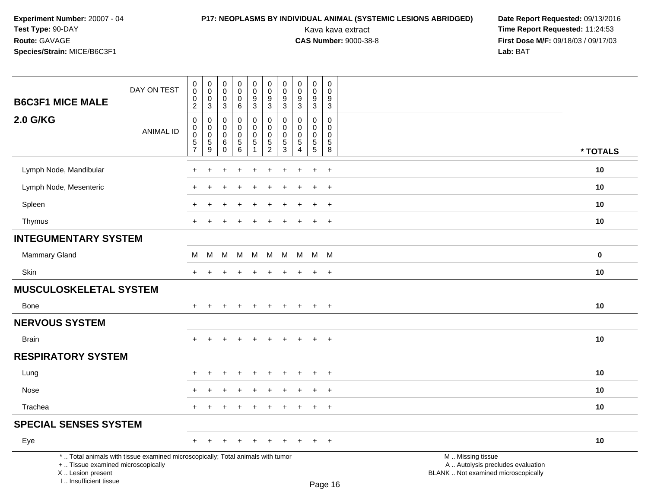# **P17: NEOPLASMS BY INDIVIDUAL ANIMAL (SYSTEMIC LESIONS ABRIDGED) Date Report Requested: 09/13/2016<br>Kava kava extract <b>Time Report Requested:** 11:24:53

| DAY ON TEST<br><b>B6C3F1 MICE MALE</b>                                                                                                                              | $\pmb{0}$<br>0<br>0                                                | $\pmb{0}$<br>$\mathbf 0$<br>$\mathbf 0$                  | $\pmb{0}$<br>$\mathbf 0$<br>0                             | $\mathsf 0$<br>$\mathbf 0$<br>0 | $\pmb{0}$<br>$\mathsf{O}\xspace$<br>$\frac{9}{3}$     | $\pmb{0}$<br>$\mathbf 0$<br>$9\,$              | 0<br>$\mathbf 0$<br>$\boldsymbol{9}$                         | $\mathsf{O}\xspace$<br>$\Omega$<br>9                           | $\pmb{0}$<br>0<br>$\boldsymbol{9}$  | $\mathsf 0$<br>$\Omega$<br>9                               |                                                                                               |             |
|---------------------------------------------------------------------------------------------------------------------------------------------------------------------|--------------------------------------------------------------------|----------------------------------------------------------|-----------------------------------------------------------|---------------------------------|-------------------------------------------------------|------------------------------------------------|--------------------------------------------------------------|----------------------------------------------------------------|-------------------------------------|------------------------------------------------------------|-----------------------------------------------------------------------------------------------|-------------|
|                                                                                                                                                                     | $\overline{2}$                                                     | $\mathbf{3}$                                             | $\mathsf 3$                                               | 6                               |                                                       | $\overline{3}$                                 | $\mathbf{3}$                                                 | $\mathbf{3}$                                                   | $\overline{3}$                      | $\sqrt{3}$                                                 |                                                                                               |             |
| <b>2.0 G/KG</b><br><b>ANIMAL ID</b>                                                                                                                                 | $\mathbf 0$<br>$\mathsf{O}\xspace$<br>$\mathbf 0$<br>$\frac{5}{7}$ | $\mathbf 0$<br>$\mathbf 0$<br>$\pmb{0}$<br>$\frac{5}{9}$ | 0<br>$\mathbf 0$<br>$\mathbf 0$<br>$\,6\,$<br>$\mathbf 0$ | 0<br>0<br>0<br>$\frac{5}{6}$    | 0<br>$\mathbf 0$<br>$\mathsf{O}\xspace$<br>$\sqrt{5}$ | 0<br>$\pmb{0}$<br>$\mathbf 0$<br>$\frac{5}{2}$ | $\mathbf{0}$<br>$\mathbf 0$<br>0<br>$\sqrt{5}$<br>$\sqrt{3}$ | $\Omega$<br>$\Omega$<br>$\mathbf 0$<br>$\mathbf 5$<br>$\Delta$ | $\Omega$<br>0<br>0<br>$\frac{5}{5}$ | $\mathbf 0$<br>$\mathbf 0$<br>$\mathbf 0$<br>$\frac{5}{8}$ |                                                                                               | * TOTALS    |
|                                                                                                                                                                     |                                                                    |                                                          |                                                           |                                 |                                                       |                                                |                                                              |                                                                |                                     |                                                            |                                                                                               |             |
| Lymph Node, Mandibular                                                                                                                                              | $\pm$                                                              | ÷                                                        |                                                           | $\div$                          | $\div$                                                | $\overline{ }$                                 | ÷                                                            | ÷.                                                             | $\ddot{}$                           | $+$                                                        |                                                                                               | 10          |
| Lymph Node, Mesenteric                                                                                                                                              |                                                                    |                                                          |                                                           |                                 |                                                       |                                                |                                                              |                                                                |                                     | $\overline{+}$                                             |                                                                                               | 10          |
| Spleen                                                                                                                                                              |                                                                    |                                                          |                                                           |                                 |                                                       |                                                |                                                              |                                                                | $\ddot{}$                           | $\ddot{}$                                                  |                                                                                               | 10          |
| Thymus                                                                                                                                                              | $+$                                                                | $\ddot{}$                                                |                                                           | $\div$                          | $\pm$                                                 | $\pm$                                          | $\pm$                                                        | ÷                                                              | $+$                                 | $+$                                                        |                                                                                               | 10          |
| <b>INTEGUMENTARY SYSTEM</b>                                                                                                                                         |                                                                    |                                                          |                                                           |                                 |                                                       |                                                |                                                              |                                                                |                                     |                                                            |                                                                                               |             |
| <b>Mammary Gland</b>                                                                                                                                                | м                                                                  | M                                                        | M                                                         | M                               | M                                                     | M                                              | M                                                            |                                                                | M M M                               |                                                            |                                                                                               | $\mathbf 0$ |
| Skin                                                                                                                                                                | $+$                                                                | $\ddot{}$                                                |                                                           | $\div$                          | +                                                     | $\pm$                                          | $\ddot{}$                                                    | $\pm$                                                          | $\ddot{}$                           | $+$                                                        |                                                                                               | 10          |
| <b>MUSCULOSKELETAL SYSTEM</b>                                                                                                                                       |                                                                    |                                                          |                                                           |                                 |                                                       |                                                |                                                              |                                                                |                                     |                                                            |                                                                                               |             |
| Bone                                                                                                                                                                | $+$                                                                |                                                          |                                                           |                                 | $\ddot{}$                                             | $\ddot{}$                                      | $\pm$                                                        | $\ddot{}$                                                      | $\ddot{}$                           | $+$                                                        |                                                                                               | 10          |
| <b>NERVOUS SYSTEM</b>                                                                                                                                               |                                                                    |                                                          |                                                           |                                 |                                                       |                                                |                                                              |                                                                |                                     |                                                            |                                                                                               |             |
| Brain                                                                                                                                                               |                                                                    |                                                          |                                                           |                                 |                                                       |                                                |                                                              |                                                                | $\ddot{}$                           | $+$                                                        |                                                                                               | 10          |
| <b>RESPIRATORY SYSTEM</b>                                                                                                                                           |                                                                    |                                                          |                                                           |                                 |                                                       |                                                |                                                              |                                                                |                                     |                                                            |                                                                                               |             |
| Lung                                                                                                                                                                |                                                                    |                                                          |                                                           |                                 |                                                       |                                                |                                                              |                                                                |                                     | $\ddot{}$                                                  |                                                                                               | 10          |
| Nose                                                                                                                                                                |                                                                    |                                                          |                                                           |                                 |                                                       |                                                |                                                              |                                                                | $\div$                              | $+$                                                        |                                                                                               | 10          |
| Trachea                                                                                                                                                             | $\pm$                                                              | ÷                                                        |                                                           | $\ddot{}$                       | $\ddot{}$                                             | $\pm$                                          | $\pm$                                                        | $\pm$                                                          | $\ddot{}$                           | $+$                                                        |                                                                                               | 10          |
| <b>SPECIAL SENSES SYSTEM</b>                                                                                                                                        |                                                                    |                                                          |                                                           |                                 |                                                       |                                                |                                                              |                                                                |                                     |                                                            |                                                                                               |             |
| Eye                                                                                                                                                                 | $+$                                                                | $\pm$                                                    |                                                           | $\ddot{}$                       | $\ddot{}$                                             | $\pm$                                          | $\pm$                                                        |                                                                | $\pm$                               | $+$                                                        |                                                                                               | 10          |
| *  Total animals with tissue examined microscopically; Total animals with tumor<br>+  Tissue examined microscopically<br>X  Lesion present<br>I Insufficient tissue |                                                                    |                                                          |                                                           |                                 |                                                       |                                                |                                                              |                                                                |                                     | D <sub>2</sub> 200                                         | M  Missing tissue<br>A  Autolysis precludes evaluation<br>BLANK  Not examined microscopically |             |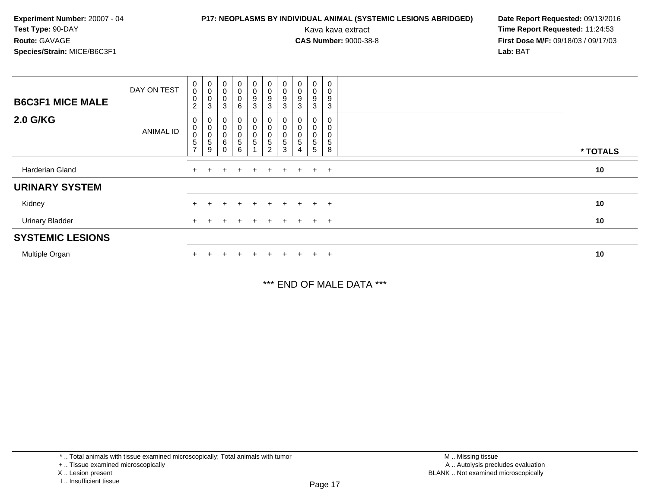### **P17: NEOPLASMS BY INDIVIDUAL ANIMAL (SYSTEMIC LESIONS ABRIDGED)** Date Report Requested: 09/13/2016<br>Kava kava extract **Time Report Requested:** 11:24:53

Kava kava extract **Time Report Requested:** 11:24:53<br>**CAS Number:** 9000-38-8 **Time Report Requested:** 11:24:53 **First Dose M/F:** 09/18/03 / 09/17/03<br>**Lab:** BAT **Lab:** BAT

| <b>B6C3F1 MICE MALE</b> | DAY ON TEST      | $\mathbf 0$<br>$\mathbf 0$<br>$\pmb{0}$<br>$\overline{c}$ | 0<br>0<br>0<br>3 | $\pmb{0}$<br>$\mathbf 0$<br>$\mathbf 0$<br>$\mathbf{3}$ | $\mathbf 0$<br>0<br>0<br>$\,6\,$                     | $\begin{smallmatrix} 0\\0 \end{smallmatrix}$<br>$\mathsf g$<br>3  | $\begin{smallmatrix} 0\\0 \end{smallmatrix}$<br>$\boldsymbol{9}$<br>3                    | $\mathbf 0$<br>$\mathbf 0$<br>9<br>3 | $_{\rm 0}^{\rm 0}$<br>9<br>3 | $\pmb{0}$<br>$\mathbf 0$<br>9<br>3 | 0<br>0<br>9<br>3          |          |
|-------------------------|------------------|-----------------------------------------------------------|------------------|---------------------------------------------------------|------------------------------------------------------|-------------------------------------------------------------------|------------------------------------------------------------------------------------------|--------------------------------------|------------------------------|------------------------------------|---------------------------|----------|
| <b>2.0 G/KG</b>         | <b>ANIMAL ID</b> | 0<br>$\pmb{0}$<br>$\pmb{0}$<br>5<br>$\overline{7}$        | 0<br>0<br>5<br>9 | 0<br>$\mathbf 0$<br>$\mathbf 0$<br>$\,6\,$<br>$\Omega$  | 0<br>0<br>$\begin{array}{c} 0 \\ 5 \end{array}$<br>6 | $\mathbf 0$<br>$\pmb{0}$<br>$\begin{array}{c} 0 \\ 5 \end{array}$ | $\boldsymbol{0}$<br>$\pmb{0}$<br>$\begin{array}{c} 0 \\ 5 \end{array}$<br>$\overline{2}$ | 0<br>$\pmb{0}$<br>5<br>3             |                              | 0<br>0<br>5<br>5                   | 0<br>0<br>0<br>$5\,$<br>8 | * TOTALS |
| Harderian Gland         |                  | $+$                                                       |                  |                                                         | $\ddot{}$                                            | $\pm$                                                             | $+$                                                                                      | $\pm$                                | $+$                          |                                    | $+$ $+$                   | 10       |
| <b>URINARY SYSTEM</b>   |                  |                                                           |                  |                                                         |                                                      |                                                                   |                                                                                          |                                      |                              |                                    |                           |          |
| Kidney                  |                  | $+$                                                       |                  |                                                         | $\ddot{}$                                            | $\ddot{}$                                                         | $+$                                                                                      | $\pm$                                | $+$                          | $+$                                | $+$                       | 10       |
| <b>Urinary Bladder</b>  |                  | $+$                                                       |                  |                                                         | $\div$                                               | $\pm$                                                             | $+$                                                                                      | $\div$                               | $+$                          | $+$                                | $+$                       | 10       |
| <b>SYSTEMIC LESIONS</b> |                  |                                                           |                  |                                                         |                                                      |                                                                   |                                                                                          |                                      |                              |                                    |                           |          |
| Multiple Organ          |                  |                                                           |                  |                                                         |                                                      |                                                                   |                                                                                          |                                      |                              | $+$                                | $\overline{+}$            | 10       |

\*\*\* END OF MALE DATA \*\*\*

\* .. Total animals with tissue examined microscopically; Total animals with tumor

X .. Lesion present

<sup>+ ..</sup> Tissue examined microscopically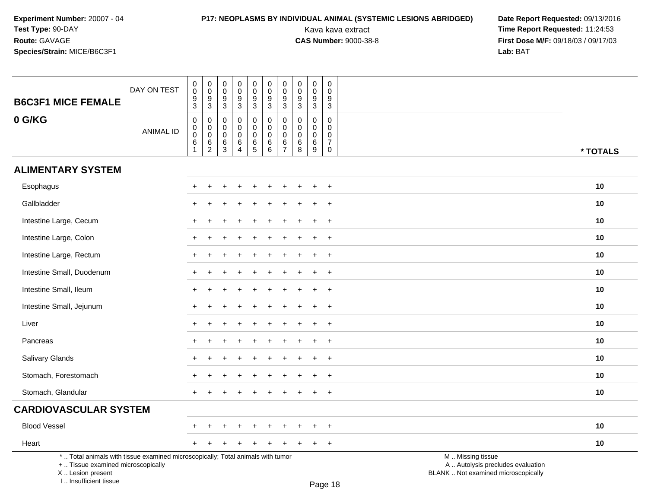I .. Insufficient tissue

## **P17: NEOPLASMS BY INDIVIDUAL ANIMAL (SYSTEMIC LESIONS ABRIDGED) Date Report Requested: 09/13/2016<br>Kava kava extract <b>Time Report Requested:** 11:24:53

| <b>Blood Vessel</b><br>Heart |                  |                                                                   |                                                               |                                                          |                                                                        |                                                   |                                                           |                                                                        |                                                  |                                                           | $\ddot{}$<br>$+$                                                           | 10<br>10 |
|------------------------------|------------------|-------------------------------------------------------------------|---------------------------------------------------------------|----------------------------------------------------------|------------------------------------------------------------------------|---------------------------------------------------|-----------------------------------------------------------|------------------------------------------------------------------------|--------------------------------------------------|-----------------------------------------------------------|----------------------------------------------------------------------------|----------|
| <b>CARDIOVASCULAR SYSTEM</b> |                  |                                                                   |                                                               |                                                          |                                                                        |                                                   |                                                           |                                                                        |                                                  |                                                           |                                                                            |          |
| Stomach, Glandular           |                  | $+$                                                               |                                                               |                                                          |                                                                        |                                                   |                                                           |                                                                        |                                                  |                                                           | $+$                                                                        | 10       |
| Stomach, Forestomach         |                  |                                                                   |                                                               |                                                          |                                                                        |                                                   |                                                           |                                                                        |                                                  |                                                           | $+$                                                                        | 10       |
| Salivary Glands              |                  | $+$                                                               |                                                               |                                                          |                                                                        |                                                   |                                                           |                                                                        |                                                  |                                                           | $+$                                                                        | 10       |
| Pancreas                     |                  |                                                                   |                                                               |                                                          |                                                                        |                                                   |                                                           |                                                                        |                                                  |                                                           | $\ddot{}$                                                                  | 10       |
| Liver                        |                  |                                                                   |                                                               |                                                          |                                                                        |                                                   |                                                           |                                                                        |                                                  |                                                           | $\ddot{}$                                                                  | 10       |
| Intestine Small, Jejunum     |                  |                                                                   |                                                               |                                                          |                                                                        |                                                   |                                                           |                                                                        |                                                  |                                                           | $+$                                                                        | 10       |
| Intestine Small, Ileum       |                  |                                                                   |                                                               |                                                          |                                                                        |                                                   |                                                           |                                                                        |                                                  |                                                           | $+$                                                                        | 10       |
| Intestine Small, Duodenum    |                  |                                                                   |                                                               |                                                          |                                                                        |                                                   |                                                           |                                                                        |                                                  |                                                           | $\ddot{}$                                                                  | 10       |
| Intestine Large, Rectum      |                  |                                                                   |                                                               |                                                          |                                                                        |                                                   |                                                           |                                                                        |                                                  |                                                           | $\ddot{}$                                                                  | 10       |
| Intestine Large, Colon       |                  |                                                                   |                                                               |                                                          |                                                                        |                                                   |                                                           |                                                                        |                                                  |                                                           | $\overline{+}$                                                             | 10       |
| Intestine Large, Cecum       |                  |                                                                   |                                                               |                                                          |                                                                        |                                                   |                                                           |                                                                        |                                                  |                                                           | $+$                                                                        | 10       |
| Gallbladder                  |                  |                                                                   |                                                               |                                                          |                                                                        |                                                   |                                                           |                                                                        |                                                  |                                                           | $\overline{+}$                                                             | 10       |
| Esophagus                    |                  |                                                                   |                                                               |                                                          |                                                                        |                                                   |                                                           |                                                                        |                                                  |                                                           | $\ddot{}$                                                                  | 10       |
| <b>ALIMENTARY SYSTEM</b>     |                  |                                                                   |                                                               |                                                          |                                                                        |                                                   |                                                           |                                                                        |                                                  |                                                           |                                                                            |          |
| 0 G/KG                       | <b>ANIMAL ID</b> | $\pmb{0}$<br>$_{\rm 0}^{\rm 0}$<br>$6\phantom{a}$<br>$\mathbf{1}$ | 0<br>$\pmb{0}$<br>$\mathsf 0$<br>$6\phantom{a}$<br>$\sqrt{2}$ | $\mathbf 0$<br>$\mathbf 0$<br>$\boldsymbol{0}$<br>$^6_3$ | $\mathbf 0$<br>$\mathbf 0$<br>$\mathbf 0$<br>$\,6\,$<br>$\overline{4}$ | 0<br>$\mathbf 0$<br>$\mathbf 0$<br>$\frac{6}{5}$  | $\pmb{0}$<br>$\mathbf 0$<br>$\pmb{0}$<br>$\,6$<br>$\,6\,$ | $\mathbf 0$<br>$\mathbf 0$<br>$\mathbf 0$<br>$\,6\,$<br>$\overline{7}$ | $\mathbf 0$<br>$\mathbf{0}$<br>0<br>$\,6\,$<br>8 | $\mathbf 0$<br>$\mathbf 0$<br>$\mathbf 0$<br>$\,6\,$<br>9 | $\mathbf 0$<br>$\mathbf 0$<br>$\mathbf 0$<br>$\overline{7}$<br>$\mathbf 0$ | * TOTALS |
| <b>B6C3F1 MICE FEMALE</b>    | DAY ON TEST      | $\pmb{0}$<br>$\pmb{0}$<br>$\frac{9}{3}$                           | $_{\rm 0}^{\rm 0}$<br>$\frac{9}{3}$                           | $\boldsymbol{0}$<br>$\mathbf 0$<br>$\frac{9}{3}$         | $\pmb{0}$<br>$\mathbf 0$<br>$\frac{9}{3}$                              | $\pmb{0}$<br>$\mathsf{O}\xspace$<br>$\frac{9}{3}$ | $\pmb{0}$<br>$\mathbf 0$<br>$\frac{9}{3}$                 | $\pmb{0}$<br>$\mathbf 0$<br>$\frac{9}{3}$                              | $\pmb{0}$<br>$\mathbf 0$<br>$\frac{9}{3}$        | $\pmb{0}$<br>$\mathbf 0$<br>9<br>$\overline{3}$           | 0<br>$\mathbf 0$<br>9<br>$\mathbf{3}$                                      |          |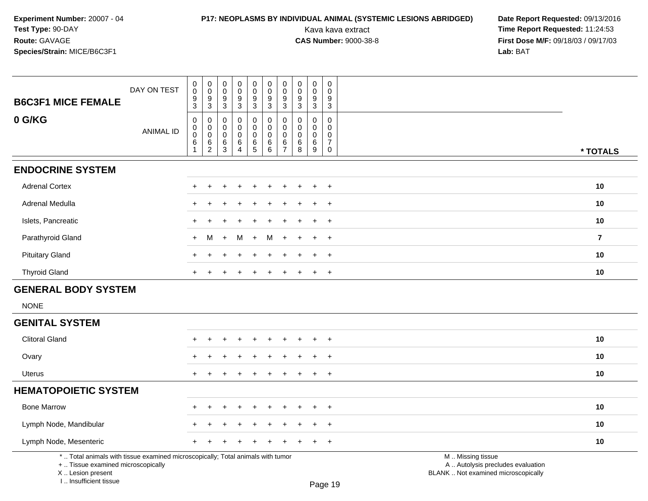# **P17: NEOPLASMS BY INDIVIDUAL ANIMAL (SYSTEMIC LESIONS ABRIDGED)** Date Report Requested: 09/13/2016<br>Kava kava extract **Time Report Requested:** 11:24:53

т ┱ ┯ ┬

| <b>B6C3F1 MICE FEMALE</b>                                                                                                                                           | DAY ON TEST      | 0<br>$\pmb{0}$<br>$\frac{9}{3}$                                  | $\pmb{0}$<br>$\pmb{0}$<br>$\frac{9}{3}$                                 | 0<br>$\mathbf 0$<br>$\frac{9}{3}$  | $\pmb{0}$<br>$\mathbf 0$<br>$\frac{9}{3}$      | $_{\rm 0}^{\rm 0}$<br>$\frac{9}{3}$                         | $\pmb{0}$<br>$\pmb{0}$<br>$\frac{9}{3}$               | $\pmb{0}$<br>$\mathbf 0$<br>$\frac{9}{3}$                                          | $\pmb{0}$<br>$\mathbf 0$<br>9<br>$\overline{3}$        | $\pmb{0}$<br>$\mathbf 0$<br>$\frac{9}{3}$                          | $\pmb{0}$<br>$\Omega$<br>9<br>$\overline{3}$                                    |                                                                                               |  |
|---------------------------------------------------------------------------------------------------------------------------------------------------------------------|------------------|------------------------------------------------------------------|-------------------------------------------------------------------------|------------------------------------|------------------------------------------------|-------------------------------------------------------------|-------------------------------------------------------|------------------------------------------------------------------------------------|--------------------------------------------------------|--------------------------------------------------------------------|---------------------------------------------------------------------------------|-----------------------------------------------------------------------------------------------|--|
| 0 G/KG                                                                                                                                                              | <b>ANIMAL ID</b> | $\mathbf 0$<br>$\pmb{0}$<br>$\mathbf 0$<br>$\,6$<br>$\mathbf{1}$ | $\pmb{0}$<br>$\mathsf{O}$<br>$\ddot{\mathbf{0}}$<br>6<br>$\overline{2}$ | 0<br>0<br>0<br>6<br>$\overline{3}$ | $\mathbf 0$<br>$\pmb{0}$<br>0<br>$\frac{6}{4}$ | $\mathbf 0$<br>$\mathsf 0$<br>$\mathsf{O}\xspace$<br>$^6$ 5 | $\mathbf 0$<br>$\mathbf 0$<br>$\pmb{0}$<br>$^6_{\ 6}$ | $\mathbf 0$<br>$\mathbf 0$<br>$\mathbf 0$<br>$\begin{array}{c} 6 \\ 7 \end{array}$ | 0<br>$\mathbf 0$<br>$\mathbf 0$<br>6<br>$\overline{8}$ | $\mathbf 0$<br>$\pmb{0}$<br>$\pmb{0}$<br>$\,6\,$<br>$\overline{9}$ | $\mathbf 0$<br>$\Omega$<br>$\mathbf 0$<br>$\overline{7}$<br>$\mathsf{O}\xspace$ | * TOTALS                                                                                      |  |
| <b>ENDOCRINE SYSTEM</b>                                                                                                                                             |                  |                                                                  |                                                                         |                                    |                                                |                                                             |                                                       |                                                                                    |                                                        |                                                                    |                                                                                 |                                                                                               |  |
| <b>Adrenal Cortex</b>                                                                                                                                               |                  | ÷                                                                |                                                                         |                                    |                                                |                                                             | $\ddot{}$                                             | ÷                                                                                  |                                                        | $+$                                                                | $+$                                                                             | 10                                                                                            |  |
| Adrenal Medulla                                                                                                                                                     |                  | $\ddot{}$                                                        |                                                                         |                                    |                                                |                                                             |                                                       |                                                                                    | ÷                                                      | $\div$                                                             | $+$                                                                             | 10                                                                                            |  |
| Islets, Pancreatic                                                                                                                                                  |                  | ÷                                                                |                                                                         |                                    |                                                |                                                             |                                                       |                                                                                    |                                                        |                                                                    | $\overline{ }$                                                                  | 10                                                                                            |  |
| Parathyroid Gland                                                                                                                                                   |                  | $\pm$                                                            | M                                                                       | $+$                                | M                                              | $\ddot{}$                                                   | м                                                     |                                                                                    |                                                        |                                                                    | $\ddot{}$                                                                       | $\overline{7}$                                                                                |  |
| <b>Pituitary Gland</b>                                                                                                                                              |                  |                                                                  |                                                                         |                                    |                                                |                                                             |                                                       |                                                                                    |                                                        |                                                                    | $\div$                                                                          | 10                                                                                            |  |
| <b>Thyroid Gland</b>                                                                                                                                                |                  | $\pm$                                                            |                                                                         |                                    |                                                |                                                             |                                                       |                                                                                    |                                                        |                                                                    | $\ddot{}$                                                                       | 10                                                                                            |  |
| <b>GENERAL BODY SYSTEM</b>                                                                                                                                          |                  |                                                                  |                                                                         |                                    |                                                |                                                             |                                                       |                                                                                    |                                                        |                                                                    |                                                                                 |                                                                                               |  |
| <b>NONE</b>                                                                                                                                                         |                  |                                                                  |                                                                         |                                    |                                                |                                                             |                                                       |                                                                                    |                                                        |                                                                    |                                                                                 |                                                                                               |  |
| <b>GENITAL SYSTEM</b>                                                                                                                                               |                  |                                                                  |                                                                         |                                    |                                                |                                                             |                                                       |                                                                                    |                                                        |                                                                    |                                                                                 |                                                                                               |  |
| <b>Clitoral Gland</b>                                                                                                                                               |                  | +                                                                |                                                                         |                                    |                                                |                                                             |                                                       |                                                                                    |                                                        |                                                                    | $+$                                                                             | 10                                                                                            |  |
| Ovary                                                                                                                                                               |                  |                                                                  |                                                                         |                                    |                                                |                                                             |                                                       |                                                                                    |                                                        |                                                                    | $\overline{+}$                                                                  | 10                                                                                            |  |
| <b>Uterus</b>                                                                                                                                                       |                  | $+$                                                              |                                                                         |                                    |                                                |                                                             |                                                       |                                                                                    |                                                        |                                                                    | $\div$                                                                          | 10                                                                                            |  |
| <b>HEMATOPOIETIC SYSTEM</b>                                                                                                                                         |                  |                                                                  |                                                                         |                                    |                                                |                                                             |                                                       |                                                                                    |                                                        |                                                                    |                                                                                 |                                                                                               |  |
| <b>Bone Marrow</b>                                                                                                                                                  |                  |                                                                  |                                                                         |                                    |                                                |                                                             |                                                       |                                                                                    |                                                        |                                                                    | $\overline{1}$                                                                  | 10                                                                                            |  |
| Lymph Node, Mandibular                                                                                                                                              |                  |                                                                  |                                                                         |                                    |                                                |                                                             |                                                       |                                                                                    |                                                        |                                                                    | $\overline{1}$                                                                  | 10                                                                                            |  |
| Lymph Node, Mesenteric                                                                                                                                              |                  |                                                                  |                                                                         |                                    |                                                |                                                             |                                                       |                                                                                    |                                                        |                                                                    | $\overline{1}$                                                                  | 10                                                                                            |  |
| *  Total animals with tissue examined microscopically; Total animals with tumor<br>+  Tissue examined microscopically<br>X  Lesion present<br>I Insufficient tissue |                  |                                                                  |                                                                         |                                    |                                                |                                                             |                                                       |                                                                                    |                                                        |                                                                    | Page 19                                                                         | M  Missing tissue<br>A  Autolysis precludes evaluation<br>BLANK  Not examined microscopically |  |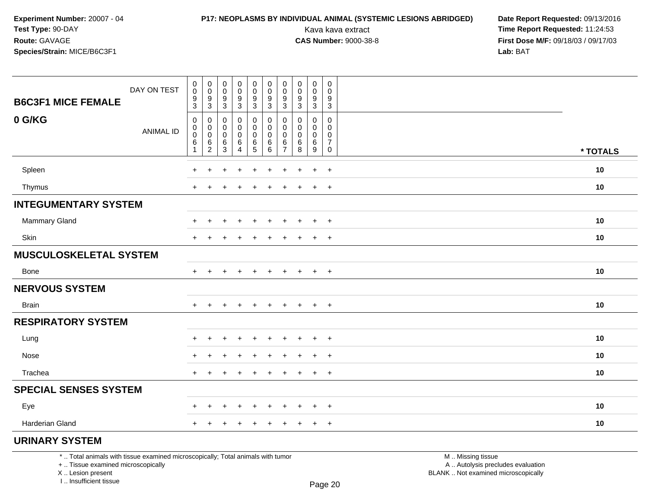## **P17: NEOPLASMS BY INDIVIDUAL ANIMAL (SYSTEMIC LESIONS ABRIDGED) Date Report Requested: 09/13/2016<br>Kava kava extract <b>Time Report Requested:** 11:24:53

Kava kava extract **Time Report Requested:** 11:24:53<br>**CAS Number:** 9000-38-8 **Time Report Requested:** 11:24:53 **First Dose M/F:** 09/18/03 / 09/17/03<br>Lab: BAT **Lab:** BAT

| <b>B6C3F1 MICE FEMALE</b>                                                       | DAY ON TEST | $_{\rm 0}^{\rm 0}$<br>$\frac{9}{3}$                      | $\pmb{0}$<br>$\pmb{0}$<br>9<br>$\sqrt{3}$ | $\boldsymbol{0}$<br>$\pmb{0}$<br>9<br>$\mathfrak{S}$ | 0<br>0<br>9<br>$\mathfrak{S}$         | 0<br>$\pmb{0}$<br>$\boldsymbol{9}$<br>3              | 0<br>$\pmb{0}$<br>$\boldsymbol{9}$<br>3 | $\pmb{0}$<br>0<br>9<br>3     | $\pmb{0}$<br>0<br>9<br>$\mathfrak{Z}$ | $\pmb{0}$<br>$\pmb{0}$<br>9<br>$\mathbf{3}$ | 0<br>$\mathbf 0$<br>9<br>$\mathbf{3}$        |                   |          |
|---------------------------------------------------------------------------------|-------------|----------------------------------------------------------|-------------------------------------------|------------------------------------------------------|---------------------------------------|------------------------------------------------------|-----------------------------------------|------------------------------|---------------------------------------|---------------------------------------------|----------------------------------------------|-------------------|----------|
| 0 G/KG                                                                          | ANIMAL ID   | 0<br>$\pmb{0}$<br>$\mathbf 0$<br>$\,6$<br>$\overline{1}$ | 0<br>0<br>$\pmb{0}$<br>$\frac{6}{2}$      | 0<br>0<br>0<br>$^6_3$                                | 0<br>0<br>$\mathbf 0$<br>$\,6\,$<br>4 | 0<br>0<br>0<br>$\begin{array}{c} 6 \\ 5 \end{array}$ | 0<br>0<br>0<br>$^6_6$                   | 0<br>0<br>0<br>$\frac{6}{7}$ | 0<br>0<br>$^6_8$                      | 0<br>0<br>0<br>$^6_9$                       | 0<br>0<br>0<br>$\overline{7}$<br>$\mathbf 0$ |                   | * TOTALS |
| Spleen                                                                          |             | $+$                                                      | $\ddot{}$                                 | $\ddot{}$                                            | $\ddot{}$                             | $\ddot{}$                                            | $\ddot{}$                               | $\ddot{}$                    | $+$                                   | $\ddot{}$                                   | $+$                                          |                   | 10       |
| Thymus                                                                          |             | $\pm$                                                    |                                           |                                                      |                                       |                                                      |                                         |                              |                                       | $\overline{+}$                              | $+$                                          |                   | 10       |
| <b>INTEGUMENTARY SYSTEM</b>                                                     |             |                                                          |                                           |                                                      |                                       |                                                      |                                         |                              |                                       |                                             |                                              |                   |          |
| Mammary Gland                                                                   |             | $+$                                                      | $\ddot{}$                                 |                                                      | ÷                                     | $\ddot{}$                                            | $\pm$                                   | $\ddot{}$                    | $\ddot{}$                             | $\overline{+}$                              | $+$                                          |                   | 10       |
| Skin                                                                            |             | $+$                                                      | $\ddot{}$                                 |                                                      |                                       | $\ddot{}$                                            | ٠                                       | $\ddot{}$                    | $\ddot{}$                             | $\overline{ }$                              | $+$                                          |                   | 10       |
| <b>MUSCULOSKELETAL SYSTEM</b>                                                   |             |                                                          |                                           |                                                      |                                       |                                                      |                                         |                              |                                       |                                             |                                              |                   |          |
| Bone                                                                            |             | $+$                                                      |                                           |                                                      |                                       | $\ddot{}$                                            |                                         | $\pm$                        | $\pm$                                 | $+$                                         | $+$                                          |                   | 10       |
| <b>NERVOUS SYSTEM</b>                                                           |             |                                                          |                                           |                                                      |                                       |                                                      |                                         |                              |                                       |                                             |                                              |                   |          |
| <b>Brain</b>                                                                    |             | $+$                                                      | $\overline{ }$                            | $\ddot{}$                                            | $\ddot{}$                             | $\ddot{}$                                            | $\ddot{}$                               | $+$                          | $+$                                   | $+$                                         | $+$                                          |                   | 10       |
| <b>RESPIRATORY SYSTEM</b>                                                       |             |                                                          |                                           |                                                      |                                       |                                                      |                                         |                              |                                       |                                             |                                              |                   |          |
| Lung                                                                            |             | +                                                        |                                           |                                                      |                                       |                                                      |                                         |                              |                                       | $\overline{ }$                              | $+$                                          |                   | 10       |
| Nose                                                                            |             | +                                                        |                                           |                                                      |                                       | $\ddot{}$                                            |                                         | $\div$                       |                                       | $\overline{ }$                              | $+$                                          |                   | 10       |
| Trachea                                                                         |             | $+$                                                      |                                           |                                                      |                                       | $\ddot{}$                                            | $\div$                                  | $\ddot{}$                    | $\pm$                                 | $\overline{+}$                              | $+$                                          |                   | 10       |
| <b>SPECIAL SENSES SYSTEM</b>                                                    |             |                                                          |                                           |                                                      |                                       |                                                      |                                         |                              |                                       |                                             |                                              |                   |          |
| Eye                                                                             |             | $+$                                                      | $\ddot{}$                                 |                                                      |                                       | $\ddot{}$                                            | $\div$                                  | $\div$                       | ÷                                     | $\overline{ }$                              | $+$                                          |                   | 10       |
| Harderian Gland                                                                 |             | $+$                                                      | $\ddot{}$                                 | $\ddot{}$                                            | $\ddot{}$                             | $\ddot{}$                                            | $\ddot{}$                               | $\ddot{}$                    | $\ddot{}$                             | $+$                                         | $+$                                          |                   | 10       |
| <b>URINARY SYSTEM</b>                                                           |             |                                                          |                                           |                                                      |                                       |                                                      |                                         |                              |                                       |                                             |                                              |                   |          |
| *  Total animals with tissue examined microscopically; Total animals with tumor |             |                                                          |                                           |                                                      |                                       |                                                      |                                         |                              |                                       |                                             |                                              | M  Missing tissue |          |

+ .. Tissue examined microscopically

X .. Lesion present

I .. Insufficient tissue

y the contract of the contract of the contract of the contract of the contract of  $\mathsf A$  . Autolysis precludes evaluation

Lesion present BLANK .. Not examined microscopically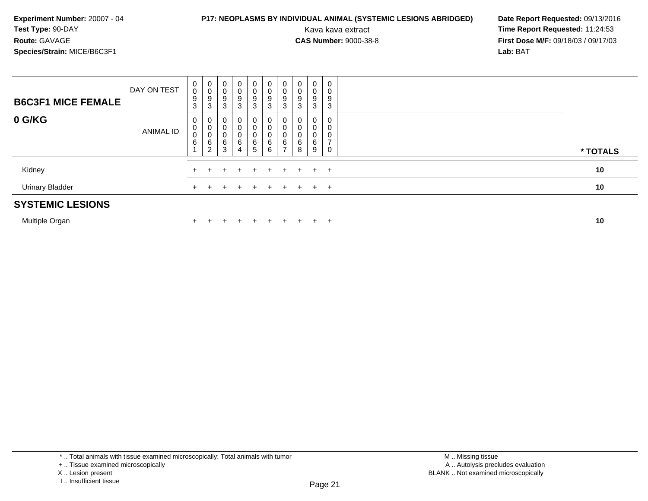### **P17: NEOPLASMS BY INDIVIDUAL ANIMAL (SYSTEMIC LESIONS ABRIDGED)** Date Report Requested: 09/13/2016<br>Kava kava extract **Time Report Requested:** 11:24:53

Kava kava extract **Time Report Requested:** 11:24:53<br>**CAS Number:** 9000-38-8 **Time Report Requested:** 11:24:53 **First Dose M/F:** 09/18/03 / 09/17/03<br>**Lab:** BAT **Lab:** BAT

| <b>SYSTEMIC LESIONS</b>   |                  |                                                          |                       |                                              |                                                           |                                                              |                                               |                       |             |                       |                                    |          |
|---------------------------|------------------|----------------------------------------------------------|-----------------------|----------------------------------------------|-----------------------------------------------------------|--------------------------------------------------------------|-----------------------------------------------|-----------------------|-------------|-----------------------|------------------------------------|----------|
| <b>Urinary Bladder</b>    |                  | $+$                                                      |                       |                                              | $\pm$                                                     | $\pm$                                                        | $+$                                           | $+$                   | $+$         |                       | $+$ $+$                            | 10       |
| Kidney                    |                  |                                                          |                       |                                              | $+$                                                       | $+$                                                          | $+$ $-$                                       | $+$                   | $+$         |                       | $+$ $+$                            | 10       |
| 0 G/KG                    | <b>ANIMAL ID</b> | 0<br>$\pmb{0}$<br>$\pmb{0}$<br>$\,6\,$<br>$\overline{A}$ | 0<br>0<br>6<br>$\sim$ | 0<br>$\mathbf 0$<br>U<br>6<br>3              | 0<br>U<br>U<br>6<br>4                                     | 0<br>0<br>$\begin{array}{c} 0 \\ 6 \\ 5 \end{array}$         | 0<br>$\pmb{0}$<br>$\pmb{0}$<br>$\,6\,$<br>6   | 0<br>U<br>υ<br>6<br>- | 6<br>8      | 0<br>0<br>0<br>6<br>9 | 0<br>0<br>0<br>$\overline{ }$<br>0 | * TOTALS |
| <b>B6C3F1 MICE FEMALE</b> | DAY ON TEST      | 0<br>$\pmb{0}$<br>$\boldsymbol{9}$<br>3                  | 0<br>0<br>9<br>3      | $\overline{0}$<br>0<br>$\boldsymbol{9}$<br>3 | $\overline{0}$<br>0<br>$\boldsymbol{9}$<br>$\mathfrak{Z}$ | $\overline{0}$<br>$\begin{array}{c} 0 \\ 9 \\ 3 \end{array}$ | $\mathbf 0$<br>$_{9}^{\rm 0}$<br>$\mathbf{3}$ | 0<br>0<br>9<br>3      | 0<br>9<br>3 | 0<br>0<br>9<br>3      | 0<br>0<br>9<br>3                   |          |

Multiple Organn  $+$ 

<sup>+</sup> <sup>+</sup> <sup>+</sup> <sup>+</sup> <sup>+</sup> <sup>+</sup> <sup>+</sup> <sup>+</sup> <sup>+</sup> **<sup>10</sup>**

<sup>\* ..</sup> Total animals with tissue examined microscopically; Total animals with tumor

<sup>+ ..</sup> Tissue examined microscopically

X .. Lesion present

I .. Insufficient tissue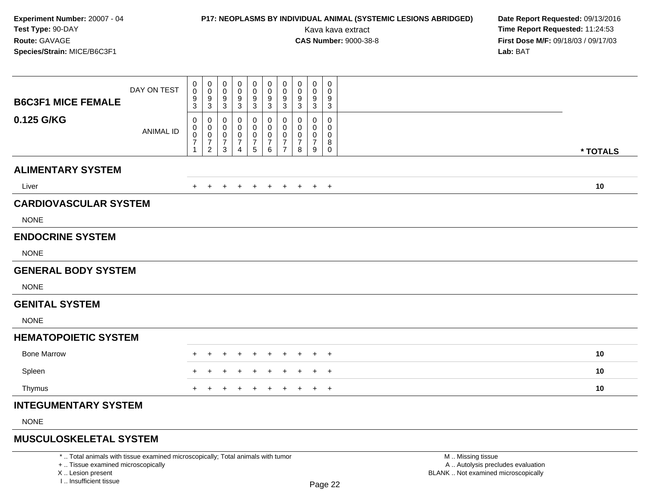### **P17: NEOPLASMS BY INDIVIDUAL ANIMAL (SYSTEMIC LESIONS ABRIDGED)** Date Report Requested: 09/13/2016<br>Kava kava extract **Time Report Requested:** 11:24:53

Kava kava extract **Time Report Requested:** 11:24:53<br>**CAS Number:** 9000-38-8 **Time Report Requested:** 11:24:53 **First Dose M/F:** 09/18/03 / 09/17/03<br>**Lab:** BAT **Lab:** BAT

| <b>B6C3F1 MICE FEMALE</b>    | DAY ON TEST      | 0<br>$\pmb{0}$<br>$\boldsymbol{9}$<br>$\sqrt{3}$      | 0<br>$\mathbf 0$<br>$\boldsymbol{9}$<br>$\mathbf{3}$                  | 0<br>$\mathbf 0$<br>9<br>$\sqrt{3}$                     | 0<br>0<br>9<br>$\ensuremath{\mathsf{3}}$        | 0<br>0<br>9<br>3                   | 0<br>$\pmb{0}$<br>9<br>$\mathbf{3}$        | 0<br>$\mathbf 0$<br>$\boldsymbol{9}$<br>$\sqrt{3}$ | 0<br>$\pmb{0}$<br>9<br>$\ensuremath{\mathsf{3}}$ | 0<br>0<br>9<br>$\mathbf{3}$        | 0<br>$\mathbf 0$<br>9<br>$\sqrt{3}$                     |          |
|------------------------------|------------------|-------------------------------------------------------|-----------------------------------------------------------------------|---------------------------------------------------------|-------------------------------------------------|------------------------------------|--------------------------------------------|----------------------------------------------------|--------------------------------------------------|------------------------------------|---------------------------------------------------------|----------|
| 0.125 G/KG                   | <b>ANIMAL ID</b> | 0<br>0<br>$\pmb{0}$<br>$\overline{7}$<br>$\mathbf{1}$ | 0<br>$\mathbf 0$<br>$\mathbf 0$<br>$\boldsymbol{7}$<br>$\overline{2}$ | 0<br>0<br>$\mathbf 0$<br>$\boldsymbol{7}$<br>$\sqrt{3}$ | 0<br>0<br>0<br>$\overline{7}$<br>$\overline{4}$ | 0<br>0<br>0<br>$\overline{7}$<br>5 | 0<br>0<br>$\pmb{0}$<br>$\overline{7}$<br>6 | 0<br>0<br>0<br>$\overline{7}$<br>$\overline{7}$    | 0<br>0<br>$\pmb{0}$<br>$\overline{7}$<br>$\bf 8$ | 0<br>0<br>0<br>$\overline{7}$<br>9 | $\mathbf 0$<br>0<br>$\pmb{0}$<br>$\bf 8$<br>$\mathbf 0$ | * TOTALS |
| <b>ALIMENTARY SYSTEM</b>     |                  |                                                       |                                                                       |                                                         |                                                 |                                    |                                            |                                                    |                                                  |                                    |                                                         |          |
| Liver                        |                  | $+$                                                   | $+$                                                                   | $\ddot{}$                                               | $\ddot{}$                                       | $\ddot{}$                          | $\ddot{}$                                  | $+$                                                | $+$                                              | $+$                                | $^{+}$                                                  | 10       |
| <b>CARDIOVASCULAR SYSTEM</b> |                  |                                                       |                                                                       |                                                         |                                                 |                                    |                                            |                                                    |                                                  |                                    |                                                         |          |
| <b>NONE</b>                  |                  |                                                       |                                                                       |                                                         |                                                 |                                    |                                            |                                                    |                                                  |                                    |                                                         |          |
| <b>ENDOCRINE SYSTEM</b>      |                  |                                                       |                                                                       |                                                         |                                                 |                                    |                                            |                                                    |                                                  |                                    |                                                         |          |
| <b>NONE</b>                  |                  |                                                       |                                                                       |                                                         |                                                 |                                    |                                            |                                                    |                                                  |                                    |                                                         |          |
| <b>GENERAL BODY SYSTEM</b>   |                  |                                                       |                                                                       |                                                         |                                                 |                                    |                                            |                                                    |                                                  |                                    |                                                         |          |
| <b>NONE</b>                  |                  |                                                       |                                                                       |                                                         |                                                 |                                    |                                            |                                                    |                                                  |                                    |                                                         |          |
| <b>GENITAL SYSTEM</b>        |                  |                                                       |                                                                       |                                                         |                                                 |                                    |                                            |                                                    |                                                  |                                    |                                                         |          |
| <b>NONE</b>                  |                  |                                                       |                                                                       |                                                         |                                                 |                                    |                                            |                                                    |                                                  |                                    |                                                         |          |
| <b>HEMATOPOIETIC SYSTEM</b>  |                  |                                                       |                                                                       |                                                         |                                                 |                                    |                                            |                                                    |                                                  |                                    |                                                         |          |
| <b>Bone Marrow</b>           |                  |                                                       |                                                                       |                                                         |                                                 |                                    |                                            |                                                    |                                                  |                                    | $\overline{1}$                                          | 10       |
| Spleen                       |                  | ÷                                                     |                                                                       |                                                         |                                                 |                                    |                                            |                                                    | $\ddot{}$                                        | $+$                                | $^{+}$                                                  | 10       |
| Thymus                       |                  |                                                       |                                                                       |                                                         |                                                 |                                    |                                            |                                                    | $\pm$                                            | $+$                                | $+$                                                     | 10       |
| <b>INTEGUMENTARY SYSTEM</b>  |                  |                                                       |                                                                       |                                                         |                                                 |                                    |                                            |                                                    |                                                  |                                    |                                                         |          |
| <b>NONE</b>                  |                  |                                                       |                                                                       |                                                         |                                                 |                                    |                                            |                                                    |                                                  |                                    |                                                         |          |

### **MUSCULOSKELETAL SYSTEM**

\* .. Total animals with tissue examined microscopically; Total animals with tumor

+ .. Tissue examined microscopically

X .. Lesion present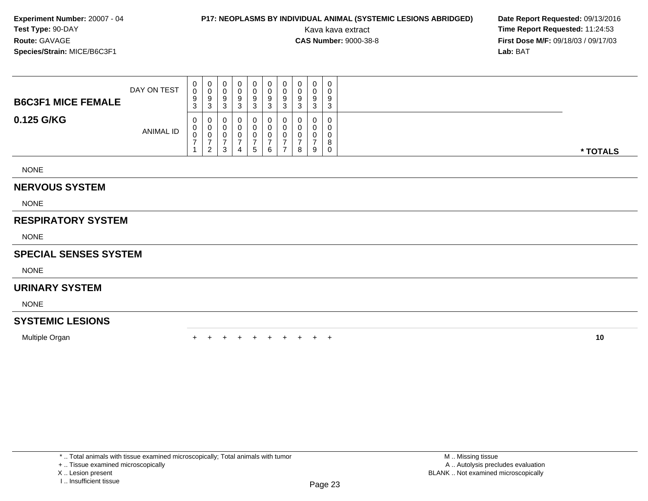### **P17: NEOPLASMS BY INDIVIDUAL ANIMAL (SYSTEMIC LESIONS ABRIDGED)** Date Report Requested: 09/13/2016<br>Kava kava extract **Time Report Requested:** 11:24:53

Kava kava extract **Time Report Requested:** 11:24:53<br>**CAS Number:** 9000-38-8<br>**Time Report Requested:** 11:24:53 **First Dose M/F:** 09/18/03 / 09/17/03<br>**Lab:** BAT **Lab:** BAT

| <b>B6C3F1 MICE FEMALE</b> | DAY ON TEST | $_0^0$<br>9<br>3 | 0<br>0<br>9<br>3              | $\mathbf 0$<br>0<br>9<br>3 | U<br>9<br>3              | U<br>0<br>9<br>3      | 0<br>9<br>3 | 9<br>3         | 0<br>9<br>3 | 0<br>9<br>3 | 0<br>0<br>9<br>3      |          |  |
|---------------------------|-------------|------------------|-------------------------------|----------------------------|--------------------------|-----------------------|-------------|----------------|-------------|-------------|-----------------------|----------|--|
| 0.125 G/KG                | ANIMAL ID   | 0<br>$_0^0$      | U<br>0<br>-<br>$\overline{2}$ | U<br>0<br>0<br>⇁<br>3      | U<br>$\overline{ }$<br>4 | U<br>0<br>0<br>–<br>5 | 0<br>6      | $\overline{ }$ | υ<br>0<br>8 | 0<br>9      | 0<br>0<br>0<br>8<br>0 | * TOTALS |  |
| <b>NONE</b>               |             |                  |                               |                            |                          |                       |             |                |             |             |                       |          |  |
| <b>NERVOUS SYSTEM</b>     |             |                  |                               |                            |                          |                       |             |                |             |             |                       |          |  |
| <b>NONE</b>               |             |                  |                               |                            |                          |                       |             |                |             |             |                       |          |  |
| <b>RESPIRATORY SYSTEM</b> |             |                  |                               |                            |                          |                       |             |                |             |             |                       |          |  |

NONE

#### **SPECIAL SENSES SYSTEM**

NONE

#### **URINARY SYSTEM**

NONE

#### **SYSTEMIC LESIONS**

Multiple Organ

n  $+$ <sup>+</sup> <sup>+</sup> <sup>+</sup> <sup>+</sup> <sup>+</sup> <sup>+</sup> <sup>+</sup> <sup>+</sup> <sup>+</sup> **<sup>10</sup>**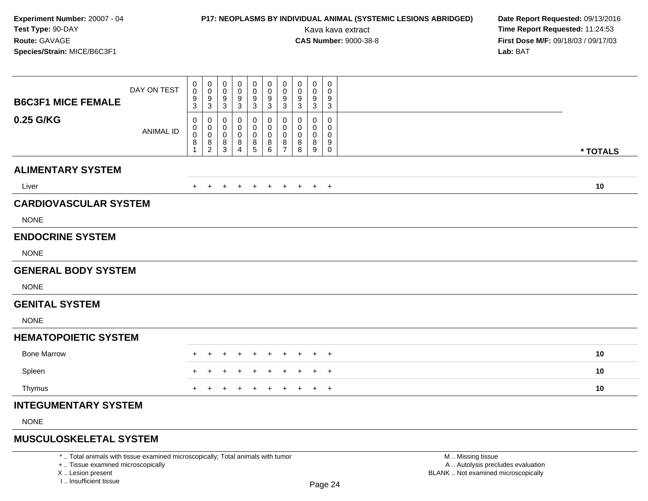### **P17: NEOPLASMS BY INDIVIDUAL ANIMAL (SYSTEMIC LESIONS ABRIDGED)** Date Report Requested: 09/13/2016<br>Kava kava extract **Time Report Requested:** 11:24:53

Kava kava extract **Time Report Requested:** 11:24:53<br>**CAS Number:** 9000-38-8 **Time Report Requested:** 11:24:53 **First Dose M/F:** 09/18/03 / 09/17/03<br>**Lab:** BAT **Lab:** BAT

| <b>B6C3F1 MICE FEMALE</b>                   | DAY ON TEST      | 0<br>$\pmb{0}$<br>$\boldsymbol{9}$<br>$\sqrt{3}$       | 0<br>$\mathbf 0$<br>9<br>3                             | 0<br>$\mathbf 0$<br>$\boldsymbol{9}$<br>$\mathbf{3}$             | 0<br>0<br>9<br>$\sqrt{3}$          | 0<br>0<br>9<br>$\sqrt{3}$                    | 0<br>$\pmb{0}$<br>9<br>3      | 0<br>0<br>9<br>$\sqrt{3}$          | 0<br>$\pmb{0}$<br>9<br>$\ensuremath{\mathsf{3}}$ | 0<br>0<br>9<br>$\mathbf{3}$          | $\mathbf 0$<br>$\mathbf 0$<br>9<br>$\sqrt{3}$                    |          |  |
|---------------------------------------------|------------------|--------------------------------------------------------|--------------------------------------------------------|------------------------------------------------------------------|------------------------------------|----------------------------------------------|-------------------------------|------------------------------------|--------------------------------------------------|--------------------------------------|------------------------------------------------------------------|----------|--|
| 0.25 G/KG                                   | <b>ANIMAL ID</b> | 0<br>0<br>$\pmb{0}$<br>$\bf 8$<br>$\blacktriangleleft$ | 0<br>$\mathbf 0$<br>$\mathbf 0$<br>8<br>$\overline{2}$ | 0<br>$\boldsymbol{0}$<br>$\boldsymbol{0}$<br>8<br>$\overline{3}$ | 0<br>0<br>0<br>8<br>$\overline{4}$ | 0<br>0<br>$\mathbf 0$<br>8<br>$\overline{5}$ | 0<br>0<br>$\pmb{0}$<br>8<br>6 | 0<br>0<br>0<br>8<br>$\overline{7}$ | 0<br>0<br>$\pmb{0}$<br>8<br>$\,8\,$              | 0<br>0<br>0<br>8<br>$\boldsymbol{9}$ | 0<br>$\mathbf 0$<br>$\mathbf 0$<br>$\boldsymbol{9}$<br>$\pmb{0}$ | * TOTALS |  |
| <b>ALIMENTARY SYSTEM</b>                    |                  |                                                        |                                                        |                                                                  |                                    |                                              |                               |                                    |                                                  |                                      |                                                                  |          |  |
| Liver                                       |                  | $+$                                                    | $+$                                                    | $+$                                                              | $\ddot{}$                          | $+$                                          | $+$                           | $+$                                | $+$                                              |                                      | $+$ $+$                                                          | 10       |  |
| <b>CARDIOVASCULAR SYSTEM</b><br><b>NONE</b> |                  |                                                        |                                                        |                                                                  |                                    |                                              |                               |                                    |                                                  |                                      |                                                                  |          |  |
| <b>ENDOCRINE SYSTEM</b>                     |                  |                                                        |                                                        |                                                                  |                                    |                                              |                               |                                    |                                                  |                                      |                                                                  |          |  |
| <b>NONE</b>                                 |                  |                                                        |                                                        |                                                                  |                                    |                                              |                               |                                    |                                                  |                                      |                                                                  |          |  |
| <b>GENERAL BODY SYSTEM</b>                  |                  |                                                        |                                                        |                                                                  |                                    |                                              |                               |                                    |                                                  |                                      |                                                                  |          |  |
| <b>NONE</b>                                 |                  |                                                        |                                                        |                                                                  |                                    |                                              |                               |                                    |                                                  |                                      |                                                                  |          |  |
| <b>GENITAL SYSTEM</b>                       |                  |                                                        |                                                        |                                                                  |                                    |                                              |                               |                                    |                                                  |                                      |                                                                  |          |  |
| <b>NONE</b>                                 |                  |                                                        |                                                        |                                                                  |                                    |                                              |                               |                                    |                                                  |                                      |                                                                  |          |  |
| <b>HEMATOPOIETIC SYSTEM</b>                 |                  |                                                        |                                                        |                                                                  |                                    |                                              |                               |                                    |                                                  |                                      |                                                                  |          |  |
| <b>Bone Marrow</b>                          |                  |                                                        |                                                        |                                                                  | ÷                                  |                                              | $\pm$                         | $\pm$                              | $\ddot{}$                                        | $+$                                  | $^{+}$                                                           | 10       |  |
| Spleen                                      |                  |                                                        |                                                        |                                                                  |                                    |                                              |                               |                                    | $\ddot{}$                                        | $+$                                  | $+$                                                              | 10       |  |
| Thymus                                      |                  | $+$                                                    |                                                        |                                                                  | ÷                                  |                                              | $\ddot{}$                     | $\pm$                              | $\ddot{}$                                        | $+$                                  | $+$                                                              | 10       |  |
| <b>INTEGUMENTARY SYSTEM</b>                 |                  |                                                        |                                                        |                                                                  |                                    |                                              |                               |                                    |                                                  |                                      |                                                                  |          |  |
| <b>NONE</b>                                 |                  |                                                        |                                                        |                                                                  |                                    |                                              |                               |                                    |                                                  |                                      |                                                                  |          |  |
|                                             |                  |                                                        |                                                        |                                                                  |                                    |                                              |                               |                                    |                                                  |                                      |                                                                  |          |  |

### **MUSCULOSKELETAL SYSTEM**

\* .. Total animals with tissue examined microscopically; Total animals with tumor

+ .. Tissue examined microscopically

X .. Lesion present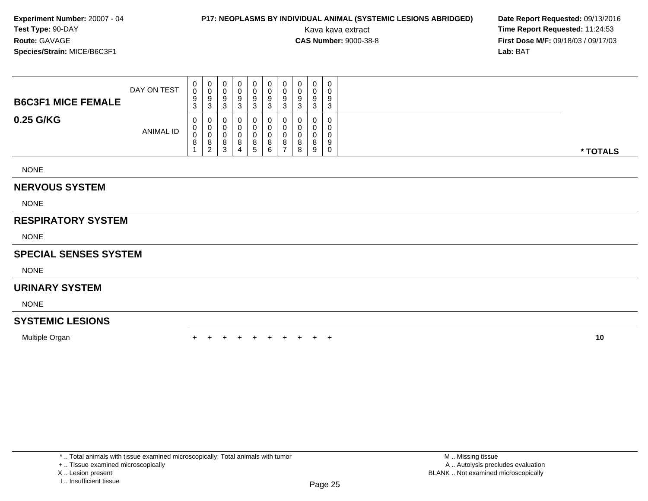### **P17: NEOPLASMS BY INDIVIDUAL ANIMAL (SYSTEMIC LESIONS ABRIDGED)** Date Report Requested: 09/13/2016<br>Kava kava extract **Time Report Requested:** 11:24:53

Kava kava extract **Time Report Requested:** 11:24:53<br>**CAS Number:** 9000-38-8<br>**Time Report Requested:** 11:24:53 **First Dose M/F:** 09/18/03 / 09/17/03<br>**Lab:** BAT **Lab:** BAT

| <b>NONE</b>               |             |                  |                                                 |                                              |                       |                                         |                            |                               |                       |                                 |                       |          |
|---------------------------|-------------|------------------|-------------------------------------------------|----------------------------------------------|-----------------------|-----------------------------------------|----------------------------|-------------------------------|-----------------------|---------------------------------|-----------------------|----------|
| <b>NERVOUS SYSTEM</b>     |             |                  |                                                 |                                              |                       |                                         |                            |                               |                       |                                 |                       |          |
| <b>NONE</b>               |             |                  |                                                 |                                              |                       |                                         |                            |                               |                       |                                 |                       |          |
| 0.25 G/KG                 | ANIMAL ID   | 0<br>$_0^0$<br>8 | 0<br>$\overline{0}$<br>0<br>8<br>$\overline{2}$ | $\mathbf{0}$<br>0<br>0<br>8<br>$\mathbf{3}$  | 0<br>0<br>U<br>8<br>4 | 0<br>$\mathbf{0}$<br>0<br>$\bf 8$<br>5  | 0<br>0<br>0<br>8<br>6      | 8<br>$\overline{\phantom{a}}$ | 0<br>0<br>υ<br>8<br>8 | $\mathbf 0$<br>0<br>0<br>8<br>9 | 0<br>0<br>0<br>9<br>0 | * TOTALS |
| <b>B6C3F1 MICE FEMALE</b> | DAY ON TEST | $_0^0$<br>9<br>3 | 0<br>0<br>9<br>3                                | 0<br>$\overline{0}$<br>$\boldsymbol{9}$<br>3 | U<br>U<br>9<br>3      | 0<br>$\pmb{0}$<br>$\boldsymbol{9}$<br>3 | 0<br>$\sim$<br>υ<br>9<br>3 | 9<br>ົ                        | 0<br>υ<br>9<br>3      | 0<br>9<br>3                     | 0<br>0<br>9<br>3      |          |

#### **RESPIRATORY SYSTEM**

NONE

#### **SPECIAL SENSES SYSTEM**

NONE

#### **URINARY SYSTEM**

NONE

#### **SYSTEMIC LESIONS**

Multiple Organ

n  $+$ <sup>+</sup> <sup>+</sup> <sup>+</sup> <sup>+</sup> <sup>+</sup> <sup>+</sup> <sup>+</sup> <sup>+</sup> <sup>+</sup> **<sup>10</sup>**

\* .. Total animals with tissue examined microscopically; Total animals with tumor

+ .. Tissue examined microscopically

X .. Lesion present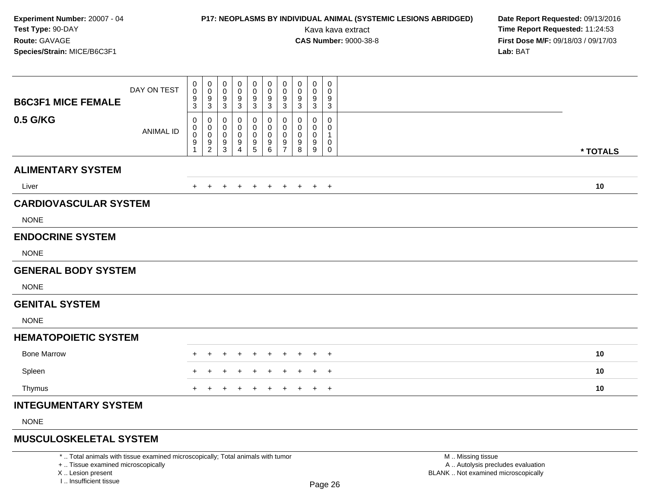### **P17: NEOPLASMS BY INDIVIDUAL ANIMAL (SYSTEMIC LESIONS ABRIDGED)** Date Report Requested: 09/13/2016<br>Kava kava extract **Time Report Requested:** 11:24:53

Kava kava extract **Time Report Requested:** 11:24:53<br>**CAS Number:** 9000-38-8 **Time Report Requested:** 11:24:53 **First Dose M/F:** 09/18/03 / 09/17/03<br>**Lab:** BAT **Lab:** BAT

| <b>B6C3F1 MICE FEMALE</b>    | DAY ON TEST      | 0<br>$\boldsymbol{0}$<br>9<br>3               | 0<br>$\pmb{0}$<br>$\frac{9}{3}$                  | 0<br>$\mathbf 0$<br>$\boldsymbol{9}$<br>$\mathsf 3$                | 0<br>$\mathbf 0$<br>9<br>$\sqrt{3}$ | 0<br>$\mathbf 0$<br>9<br>$\ensuremath{\mathsf{3}}$ | 0<br>$\boldsymbol{0}$<br>9<br>$\mathbf{3}$    | 0<br>$\pmb{0}$<br>9<br>$\sqrt{3}$                    | 0<br>0<br>9<br>3                | 0<br>0<br>9<br>$\sqrt{3}$ | $\mathbf 0$<br>$\mathbf 0$<br>9<br>$\ensuremath{\mathsf{3}}$ |          |
|------------------------------|------------------|-----------------------------------------------|--------------------------------------------------|--------------------------------------------------------------------|-------------------------------------|----------------------------------------------------|-----------------------------------------------|------------------------------------------------------|---------------------------------|---------------------------|--------------------------------------------------------------|----------|
| 0.5 G/KG                     | <b>ANIMAL ID</b> | 0<br>0<br>$\overline{0}$<br>9<br>$\mathbf{1}$ | 0<br>$\mathbf 0$<br>$\mathbf 0$<br>$\frac{9}{2}$ | 0<br>$\mathbf 0$<br>$\mathbf 0$<br>$\boldsymbol{9}$<br>$\mathsf 3$ | 0<br>0<br>0<br>9<br>$\overline{4}$  | 0<br>0<br>$\mathbf 0$<br>9<br>$\sqrt{5}$           | 0<br>$\mathbf 0$<br>$\mathbf 0$<br>9<br>$\,6$ | 0<br>$\pmb{0}$<br>$\mathbf 0$<br>9<br>$\overline{7}$ | 0<br>0<br>$\mathbf 0$<br>9<br>8 | 0<br>0<br>0<br>9<br>$9\,$ | 0<br>0<br>$\overline{1}$<br>$\mathbf 0$<br>$\mathbf 0$       |          |
|                              |                  |                                               |                                                  |                                                                    |                                     |                                                    |                                               |                                                      |                                 |                           |                                                              | * TOTALS |
| <b>ALIMENTARY SYSTEM</b>     |                  |                                               |                                                  |                                                                    |                                     |                                                    |                                               |                                                      |                                 |                           |                                                              |          |
| Liver                        |                  | $+$                                           | $+$                                              | $+$                                                                | $\ddot{}$                           | $+$                                                | $+$                                           | $+$                                                  | $+$                             |                           | $+$ $+$                                                      | 10       |
| <b>CARDIOVASCULAR SYSTEM</b> |                  |                                               |                                                  |                                                                    |                                     |                                                    |                                               |                                                      |                                 |                           |                                                              |          |
| <b>NONE</b>                  |                  |                                               |                                                  |                                                                    |                                     |                                                    |                                               |                                                      |                                 |                           |                                                              |          |
| <b>ENDOCRINE SYSTEM</b>      |                  |                                               |                                                  |                                                                    |                                     |                                                    |                                               |                                                      |                                 |                           |                                                              |          |
| <b>NONE</b>                  |                  |                                               |                                                  |                                                                    |                                     |                                                    |                                               |                                                      |                                 |                           |                                                              |          |
| <b>GENERAL BODY SYSTEM</b>   |                  |                                               |                                                  |                                                                    |                                     |                                                    |                                               |                                                      |                                 |                           |                                                              |          |
| <b>NONE</b>                  |                  |                                               |                                                  |                                                                    |                                     |                                                    |                                               |                                                      |                                 |                           |                                                              |          |
| <b>GENITAL SYSTEM</b>        |                  |                                               |                                                  |                                                                    |                                     |                                                    |                                               |                                                      |                                 |                           |                                                              |          |
| <b>NONE</b>                  |                  |                                               |                                                  |                                                                    |                                     |                                                    |                                               |                                                      |                                 |                           |                                                              |          |
| <b>HEMATOPOIETIC SYSTEM</b>  |                  |                                               |                                                  |                                                                    |                                     |                                                    |                                               |                                                      |                                 |                           |                                                              |          |
| <b>Bone Marrow</b>           |                  | ÷                                             |                                                  |                                                                    |                                     |                                                    | $\pm$                                         |                                                      | $\pm$                           | $+$                       | $^{+}$                                                       | 10       |
| Spleen                       |                  | ÷                                             |                                                  |                                                                    |                                     |                                                    |                                               |                                                      | ÷                               | $\pm$                     | $^{+}$                                                       | 10       |
| Thymus                       |                  | $+$                                           | $+$                                              | $\pm$                                                              | $\ddot{}$                           | $\ddot{}$                                          | $\ddot{}$                                     | $\pm$                                                | $\pm$                           | $+$                       | $+$                                                          | 10       |
| <b>INTEGUMENTARY SYSTEM</b>  |                  |                                               |                                                  |                                                                    |                                     |                                                    |                                               |                                                      |                                 |                           |                                                              |          |
| <b>NONE</b>                  |                  |                                               |                                                  |                                                                    |                                     |                                                    |                                               |                                                      |                                 |                           |                                                              |          |
|                              |                  |                                               |                                                  |                                                                    |                                     |                                                    |                                               |                                                      |                                 |                           |                                                              |          |

### **MUSCULOSKELETAL SYSTEM**

\* .. Total animals with tissue examined microscopically; Total animals with tumor

+ .. Tissue examined microscopically

X .. Lesion present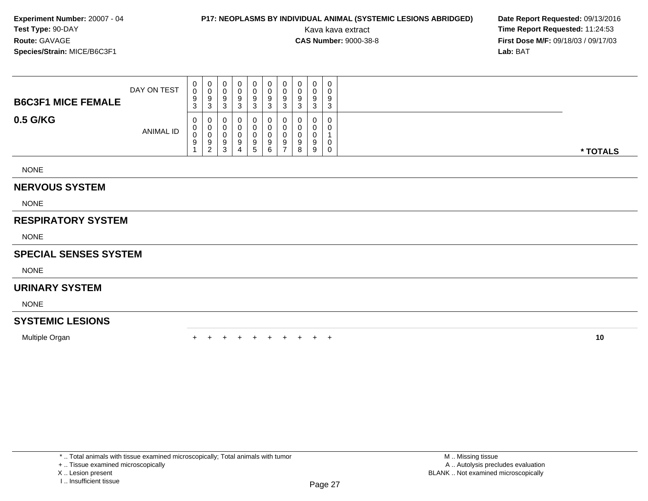### **P17: NEOPLASMS BY INDIVIDUAL ANIMAL (SYSTEMIC LESIONS ABRIDGED) Date Report Requested: 09/13/2016<br>Kava kava extract <b>Time Report Requested:** 11:24:53

Kava kava extract **Time Report Requested:** 11:24:53<br>**CAS Number:** 9000-38-8 **Time Report Requested:** 11:24:53 **First Dose M/F:** 09/18/03 / 09/17/03<br>**Lab:** BAT **Lab:** BAT

| <b>B6C3F1 MICE FEMALE</b> | DAY ON TEST      | 0<br>$\mathbf 0$<br>9<br>3  | 0<br>U<br>9<br>-3                  |   | U<br>υ<br>9<br>3                 | U<br>0<br>9<br>- ఎ | U<br>υ<br>9<br>-3                        | 0<br>0<br>9<br>ົ<br>ັ |             | 0<br>9<br>ົ |          |
|---------------------------|------------------|-----------------------------|------------------------------------|---|----------------------------------|--------------------|------------------------------------------|-----------------------|-------------|-------------|----------|
| 0.5 G/KG                  | <b>ANIMAL ID</b> | $\mathbf{0}$<br>0<br>0<br>9 | 0<br>0<br>U<br>9<br>$\overline{2}$ | 3 | 0<br>U<br>U<br>9<br>$\mathbf{p}$ | 0<br>9<br>6        | 0<br>υ<br>-9<br>$\overline{\phantom{a}}$ | 0<br>0<br>0<br>9<br>8 | 0<br>9<br>9 | 0<br>U<br>0 | * TOTALS |
| <b>NONE</b>               |                  |                             |                                    |   |                                  |                    |                                          |                       |             |             |          |

#### **NERVOUS SYSTEM**

NONE

#### **RESPIRATORY SYSTEM**

NONE

#### **SPECIAL SENSES SYSTEM**

NONE

#### **URINARY SYSTEM**

NONE

#### **SYSTEMIC LESIONS**

Multiple Organ

n  $+$ <sup>+</sup> <sup>+</sup> <sup>+</sup> <sup>+</sup> <sup>+</sup> <sup>+</sup> <sup>+</sup> <sup>+</sup> <sup>+</sup> **<sup>10</sup>**

\* .. Total animals with tissue examined microscopically; Total animals with tumor

+ .. Tissue examined microscopically

X .. Lesion present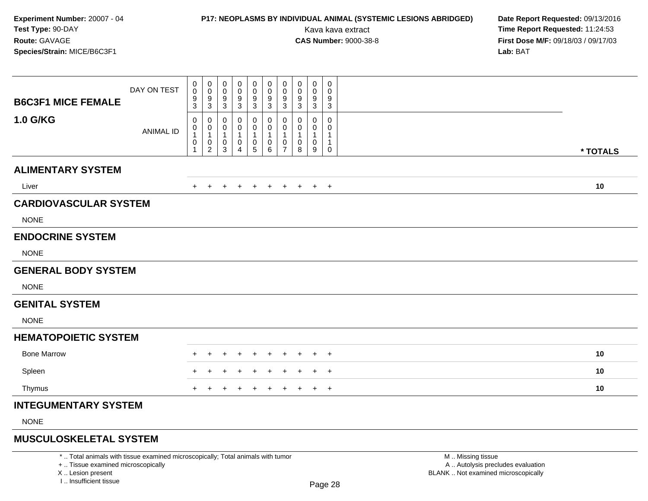### **P17: NEOPLASMS BY INDIVIDUAL ANIMAL (SYSTEMIC LESIONS ABRIDGED)** Date Report Requested: 09/13/2016<br>Kava kava extract **Time Report Requested:** 11:24:53

Kava kava extract **Time Report Requested:** 11:24:53<br>**CAS Number:** 9000-38-8 **Time Report Requested:** 11:24:53 **First Dose M/F:** 09/18/03 / 09/17/03<br>**Lab:** BAT **Lab:** BAT

| <b>B6C3F1 MICE FEMALE</b>    | DAY ON TEST      | 0<br>0<br>9<br>$\overline{3}$                       | 0<br>$\pmb{0}$<br>$\frac{9}{3}$                                                  | 0<br>0<br>9<br>$\mathbf{3}$                | 0<br>0<br>9<br>3                                | 0<br>0<br>9<br>$\mathbf{3}$                       | 0<br>$\pmb{0}$<br>9<br>3                               | 0<br>$\mathbf 0$<br>9<br>3                                        | 0<br>0<br>9<br>3      | $\mathbf 0$<br>0<br>$\frac{9}{3}$ | $\mathbf 0$<br>0<br>9<br>$\mathbf{3}$       |  |          |
|------------------------------|------------------|-----------------------------------------------------|----------------------------------------------------------------------------------|--------------------------------------------|-------------------------------------------------|---------------------------------------------------|--------------------------------------------------------|-------------------------------------------------------------------|-----------------------|-----------------------------------|---------------------------------------------|--|----------|
| <b>1.0 G/KG</b>              | <b>ANIMAL ID</b> | 0<br>0<br>$\mathbf{1}$<br>0<br>$\blacktriangleleft$ | 0<br>$\mathbf 0$<br>$\mathbf{1}$<br>$\begin{smallmatrix} 0\\2 \end{smallmatrix}$ | 0<br>0<br>$\mathbf{1}$<br>$\mathbf 0$<br>3 | 0<br>0<br>$\overline{1}$<br>0<br>$\overline{4}$ | 0<br>0<br>$\mathbf{1}$<br>$\pmb{0}$<br>$\sqrt{5}$ | 0<br>$\pmb{0}$<br>$\mathbf{1}$<br>$\pmb{0}$<br>$\,6\,$ | 0<br>$\mathbf 0$<br>$\mathbf{1}$<br>$\mathbf 0$<br>$\overline{7}$ | 0<br>0<br>1<br>0<br>8 | 0<br>0<br>$\mathbf{1}$<br>0<br>9  | $\mathbf 0$<br>0<br>-1<br>$\mathbf{1}$<br>0 |  |          |
|                              |                  |                                                     |                                                                                  |                                            |                                                 |                                                   |                                                        |                                                                   |                       |                                   |                                             |  | * TOTALS |
| <b>ALIMENTARY SYSTEM</b>     |                  |                                                     |                                                                                  |                                            |                                                 |                                                   |                                                        |                                                                   |                       |                                   |                                             |  |          |
| Liver                        |                  | $+$                                                 | $+$                                                                              | $\pm$                                      | $+$                                             | $^{+}$                                            | $+$                                                    | $+$                                                               | $+$                   |                                   | $+$ $+$                                     |  | 10       |
| <b>CARDIOVASCULAR SYSTEM</b> |                  |                                                     |                                                                                  |                                            |                                                 |                                                   |                                                        |                                                                   |                       |                                   |                                             |  |          |
| <b>NONE</b>                  |                  |                                                     |                                                                                  |                                            |                                                 |                                                   |                                                        |                                                                   |                       |                                   |                                             |  |          |
| <b>ENDOCRINE SYSTEM</b>      |                  |                                                     |                                                                                  |                                            |                                                 |                                                   |                                                        |                                                                   |                       |                                   |                                             |  |          |
| <b>NONE</b>                  |                  |                                                     |                                                                                  |                                            |                                                 |                                                   |                                                        |                                                                   |                       |                                   |                                             |  |          |
| <b>GENERAL BODY SYSTEM</b>   |                  |                                                     |                                                                                  |                                            |                                                 |                                                   |                                                        |                                                                   |                       |                                   |                                             |  |          |
| <b>NONE</b>                  |                  |                                                     |                                                                                  |                                            |                                                 |                                                   |                                                        |                                                                   |                       |                                   |                                             |  |          |
| <b>GENITAL SYSTEM</b>        |                  |                                                     |                                                                                  |                                            |                                                 |                                                   |                                                        |                                                                   |                       |                                   |                                             |  |          |
| <b>NONE</b>                  |                  |                                                     |                                                                                  |                                            |                                                 |                                                   |                                                        |                                                                   |                       |                                   |                                             |  |          |
| <b>HEMATOPOIETIC SYSTEM</b>  |                  |                                                     |                                                                                  |                                            |                                                 |                                                   |                                                        |                                                                   |                       |                                   |                                             |  |          |
| <b>Bone Marrow</b>           |                  |                                                     |                                                                                  |                                            |                                                 |                                                   |                                                        |                                                                   |                       | $^+$                              | $^{+}$                                      |  | 10       |
| Spleen                       |                  |                                                     |                                                                                  |                                            |                                                 |                                                   |                                                        |                                                                   |                       | $\pm$                             | $\overline{+}$                              |  | 10       |
| Thymus                       |                  | $+$                                                 | $+$                                                                              | $\div$                                     | ÷.                                              | $\pm$                                             | $\pm$                                                  | $\pm$                                                             | $+$                   | $+$                               | $+$                                         |  | 10       |
| <b>INTEGUMENTARY SYSTEM</b>  |                  |                                                     |                                                                                  |                                            |                                                 |                                                   |                                                        |                                                                   |                       |                                   |                                             |  |          |
| <b>NONE</b>                  |                  |                                                     |                                                                                  |                                            |                                                 |                                                   |                                                        |                                                                   |                       |                                   |                                             |  |          |
|                              |                  |                                                     |                                                                                  |                                            |                                                 |                                                   |                                                        |                                                                   |                       |                                   |                                             |  |          |

### **MUSCULOSKELETAL SYSTEM**

\* .. Total animals with tissue examined microscopically; Total animals with tumor

+ .. Tissue examined microscopically

X .. Lesion present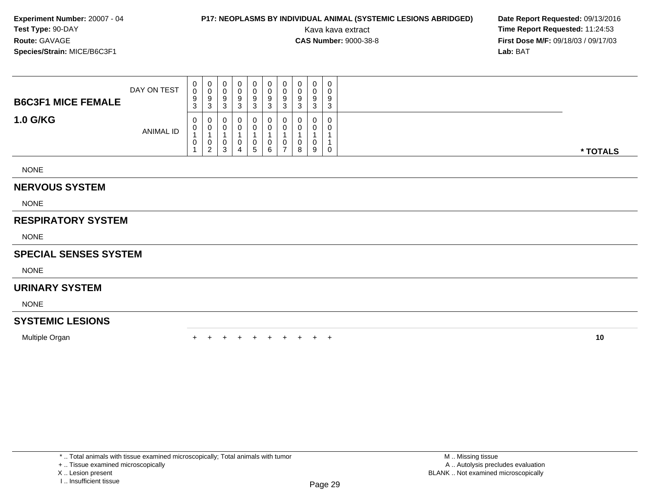### **P17: NEOPLASMS BY INDIVIDUAL ANIMAL (SYSTEMIC LESIONS ABRIDGED)** Date Report Requested: 09/13/2016<br>Kava kava extract **Time Report Requested:** 11:24:53

Kava kava extract **Time Report Requested:** 11:24:53<br>**CAS Number:** 9000-38-8 **Time Report Requested:** 11:24:53 **First Dose M/F:** 09/18/03 / 09/17/03<br>**Lab:** BAT **Lab:** BAT

| <b>B6C3F1 MICE FEMALE</b>    | DAY ON TEST | 0<br>0<br>9<br>3 | 0<br>0<br>9<br>3                   | 0<br>$\pmb{0}$<br>9<br>$\ensuremath{\mathsf{3}}$ | 0<br>9<br>3 | 0<br>$\pmb{0}$<br>$\boldsymbol{9}$<br>$\mathbf{3}$ | 0<br>0<br>9<br>3 | $\boldsymbol{0}$<br>$\pmb{0}$<br>9<br>3 | 0<br>9<br>3 | 0<br>9<br>3 | 0<br>0<br>9<br>3 |          |  |
|------------------------------|-------------|------------------|------------------------------------|--------------------------------------------------|-------------|----------------------------------------------------|------------------|-----------------------------------------|-------------|-------------|------------------|----------|--|
| <b>1.0 G/KG</b>              | ANIMAL ID   | 0<br>0<br>0      | 0<br>$\pmb{0}$<br>$\boldsymbol{2}$ | 0<br>0<br>$\pmb{0}$<br>$\ensuremath{\mathsf{3}}$ | 0<br>4      | 0<br>0<br>$\pmb{0}$<br>$\sqrt{5}$                  | 0<br>0<br>0<br>6 | 0<br>$\pmb{0}$<br>0<br>$\overline{ }$   | 8           | 9           | 0<br>0<br>0      | * TOTALS |  |
| <b>NONE</b>                  |             |                  |                                    |                                                  |             |                                                    |                  |                                         |             |             |                  |          |  |
| <b>NERVOUS SYSTEM</b>        |             |                  |                                    |                                                  |             |                                                    |                  |                                         |             |             |                  |          |  |
| <b>NONE</b>                  |             |                  |                                    |                                                  |             |                                                    |                  |                                         |             |             |                  |          |  |
| <b>RESPIRATORY SYSTEM</b>    |             |                  |                                    |                                                  |             |                                                    |                  |                                         |             |             |                  |          |  |
| <b>NONE</b>                  |             |                  |                                    |                                                  |             |                                                    |                  |                                         |             |             |                  |          |  |
| <b>SPECIAL SENSES SYSTEM</b> |             |                  |                                    |                                                  |             |                                                    |                  |                                         |             |             |                  |          |  |
| <b>NONE</b>                  |             |                  |                                    |                                                  |             |                                                    |                  |                                         |             |             |                  |          |  |
|                              |             |                  |                                    |                                                  |             |                                                    |                  |                                         |             |             |                  |          |  |

### **URINARY SYSTEM**

NONE

#### **SYSTEMIC LESIONS**

Multiple Organ

n  $+$ <sup>+</sup> <sup>+</sup> <sup>+</sup> <sup>+</sup> <sup>+</sup> <sup>+</sup> <sup>+</sup> <sup>+</sup> <sup>+</sup> **<sup>10</sup>**

X .. Lesion present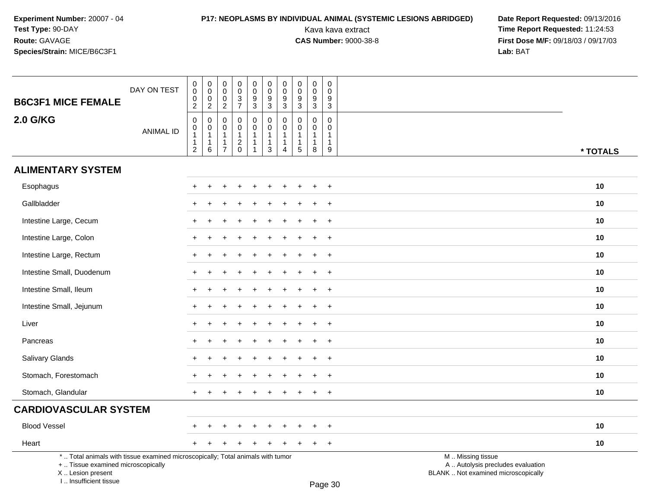I .. Insufficient tissue

## **P17: NEOPLASMS BY INDIVIDUAL ANIMAL (SYSTEMIC LESIONS ABRIDGED) Date Report Requested: 09/13/2016<br>Kava kava extract <b>Time Report Requested:** 11:24:53

| <b>B6C3F1 MICE FEMALE</b>                                                                                                                  | DAY ON TEST      | $\pmb{0}$<br>$\pmb{0}$<br>$_2^0$                                     | $\begin{smallmatrix}0\\0\end{smallmatrix}$<br>$_2^0$          | $\boldsymbol{0}$<br>$\mathbf 0$<br>$\begin{smallmatrix} 0\\2 \end{smallmatrix}$  | $\pmb{0}$<br>$\mathbf 0$<br>$\frac{3}{7}$                 | $\pmb{0}$<br>$\mathsf{O}\xspace$<br>$\frac{9}{3}$ | $\pmb{0}$<br>$\mathbf 0$<br>$\frac{9}{3}$                                                   | $\pmb{0}$<br>$\mathbf 0$<br>$\frac{9}{3}$                                    | $\pmb{0}$<br>$\mathbf 0$<br>$\frac{9}{3}$                 | $\pmb{0}$<br>$\mathbf 0$<br>9<br>$\overline{3}$                   | 0<br>$\mathbf 0$<br>9<br>$\overline{3}$               |                                                                                               |          |
|--------------------------------------------------------------------------------------------------------------------------------------------|------------------|----------------------------------------------------------------------|---------------------------------------------------------------|----------------------------------------------------------------------------------|-----------------------------------------------------------|---------------------------------------------------|---------------------------------------------------------------------------------------------|------------------------------------------------------------------------------|-----------------------------------------------------------|-------------------------------------------------------------------|-------------------------------------------------------|-----------------------------------------------------------------------------------------------|----------|
| <b>2.0 G/KG</b>                                                                                                                            | <b>ANIMAL ID</b> | $\mathbf 0$<br>$\overline{0}$<br>1<br>$\mathbf{1}$<br>$\overline{c}$ | $\mathsf 0$<br>$\pmb{0}$<br>$\mathbf{1}$<br>$\mathbf{1}$<br>6 | $\mathbf 0$<br>$\mathbf 0$<br>$\overline{1}$<br>$\overline{1}$<br>$\overline{7}$ | $\pmb{0}$<br>$\mathbf 0$<br>$\mathbf{1}$<br>$\frac{2}{0}$ | 0<br>$\mathbf 0$<br>1                             | $\begin{smallmatrix}0\0\0\end{smallmatrix}$<br>$\mathbf{1}$<br>$\mathbf{1}$<br>$\mathbf{3}$ | $\mathbf 0$<br>$\mathbf 0$<br>$\mathbf{1}$<br>$\mathbf{1}$<br>$\overline{4}$ | $\mathbf 0$<br>$\Omega$<br>1<br>$\mathbf 1$<br>$\sqrt{5}$ | $\mathbf 0$<br>$\mathbf 0$<br>$\mathbf{1}$<br>$\overline{1}$<br>8 | 0<br>$\mathbf 0$<br>$\mathbf{1}$<br>$\mathbf{1}$<br>9 |                                                                                               | * TOTALS |
| <b>ALIMENTARY SYSTEM</b>                                                                                                                   |                  |                                                                      |                                                               |                                                                                  |                                                           |                                                   |                                                                                             |                                                                              |                                                           |                                                                   |                                                       |                                                                                               |          |
| Esophagus                                                                                                                                  |                  |                                                                      |                                                               |                                                                                  |                                                           |                                                   |                                                                                             |                                                                              |                                                           |                                                                   | $\ddot{}$                                             |                                                                                               | 10       |
| Gallbladder                                                                                                                                |                  |                                                                      |                                                               |                                                                                  |                                                           |                                                   |                                                                                             |                                                                              |                                                           |                                                                   | $\ddot{}$                                             |                                                                                               | 10       |
| Intestine Large, Cecum                                                                                                                     |                  | $\pm$                                                                |                                                               |                                                                                  |                                                           |                                                   |                                                                                             |                                                                              |                                                           |                                                                   | $+$                                                   |                                                                                               | 10       |
| Intestine Large, Colon                                                                                                                     |                  |                                                                      |                                                               |                                                                                  |                                                           |                                                   |                                                                                             |                                                                              |                                                           |                                                                   | $+$                                                   |                                                                                               | 10       |
| Intestine Large, Rectum                                                                                                                    |                  |                                                                      |                                                               |                                                                                  |                                                           |                                                   |                                                                                             |                                                                              |                                                           |                                                                   | $\ddot{}$                                             |                                                                                               | 10       |
| Intestine Small, Duodenum                                                                                                                  |                  |                                                                      |                                                               |                                                                                  |                                                           |                                                   |                                                                                             |                                                                              |                                                           |                                                                   | $+$                                                   |                                                                                               | 10       |
| Intestine Small, Ileum                                                                                                                     |                  | $+$                                                                  |                                                               |                                                                                  |                                                           |                                                   |                                                                                             |                                                                              |                                                           |                                                                   | $^{+}$                                                |                                                                                               | 10       |
| Intestine Small, Jejunum                                                                                                                   |                  | $+$                                                                  | $\overline{ }$                                                |                                                                                  |                                                           |                                                   |                                                                                             |                                                                              |                                                           | $\ddot{}$                                                         | $+$                                                   |                                                                                               | 10       |
| Liver                                                                                                                                      |                  | $\pm$                                                                |                                                               |                                                                                  |                                                           |                                                   |                                                                                             |                                                                              |                                                           |                                                                   | $+$                                                   |                                                                                               | 10       |
| Pancreas                                                                                                                                   |                  |                                                                      |                                                               |                                                                                  |                                                           |                                                   |                                                                                             |                                                                              |                                                           |                                                                   | $\ddot{}$                                             |                                                                                               | 10       |
| Salivary Glands                                                                                                                            |                  |                                                                      |                                                               |                                                                                  |                                                           |                                                   |                                                                                             |                                                                              |                                                           |                                                                   | $\overline{+}$                                        |                                                                                               | 10       |
| Stomach, Forestomach                                                                                                                       |                  |                                                                      |                                                               |                                                                                  |                                                           |                                                   |                                                                                             |                                                                              |                                                           |                                                                   | $\ddot{}$                                             |                                                                                               | 10       |
| Stomach, Glandular                                                                                                                         |                  |                                                                      |                                                               |                                                                                  |                                                           |                                                   |                                                                                             |                                                                              |                                                           |                                                                   | $+$                                                   |                                                                                               | 10       |
| <b>CARDIOVASCULAR SYSTEM</b>                                                                                                               |                  |                                                                      |                                                               |                                                                                  |                                                           |                                                   |                                                                                             |                                                                              |                                                           |                                                                   |                                                       |                                                                                               |          |
| <b>Blood Vessel</b>                                                                                                                        |                  |                                                                      |                                                               |                                                                                  |                                                           |                                                   |                                                                                             |                                                                              |                                                           |                                                                   | ÷                                                     |                                                                                               | 10       |
| Heart                                                                                                                                      |                  |                                                                      |                                                               |                                                                                  |                                                           |                                                   |                                                                                             |                                                                              |                                                           |                                                                   | $+$                                                   |                                                                                               | 10       |
| *  Total animals with tissue examined microscopically; Total animals with tumor<br>+  Tissue examined microscopically<br>X  Lesion present |                  |                                                                      |                                                               |                                                                                  |                                                           |                                                   |                                                                                             |                                                                              |                                                           |                                                                   |                                                       | M  Missing tissue<br>A  Autolysis precludes evaluation<br>BLANK  Not examined microscopically |          |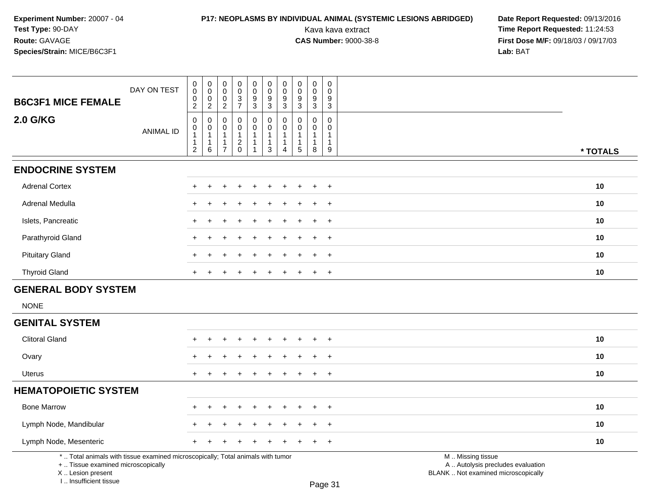# **P17: NEOPLASMS BY INDIVIDUAL ANIMAL (SYSTEMIC LESIONS ABRIDGED)** Date Report Requested: 09/13/2016<br>Kava kava extract **Time Report Requested:** 11:24:53

| <b>B6C3F1 MICE FEMALE</b>                                                                                                                                           | DAY ON TEST      | 0<br>$\overline{0}$<br>$\pmb{0}$<br>$\overline{c}$                | $\pmb{0}$<br>$\ddot{\mathbf{0}}$<br>$\begin{smallmatrix} 0\\2 \end{smallmatrix}$ | $\pmb{0}$<br>$\mathbf 0$<br>0<br>$\overline{2}$                   | $\pmb{0}$<br>$\pmb{0}$<br>$\frac{3}{7}$        | $\pmb{0}$<br>$\ddot{\mathbf{0}}$<br>$\frac{9}{3}$                      | $\pmb{0}$<br>$\overline{0}$<br>$\frac{9}{3}$                           | $\pmb{0}$<br>$\ddot{\mathbf{0}}$<br>$\frac{9}{3}$                            | $\pmb{0}$<br>$\pmb{0}$<br>9<br>$\overline{3}$ | $\pmb{0}$<br>$\ddot{\mathbf{0}}$<br>$\frac{9}{3}$               | $\pmb{0}$<br>$\mathbf 0$<br>9<br>$\mathbf{3}$                  |                                                                                               |          |
|---------------------------------------------------------------------------------------------------------------------------------------------------------------------|------------------|-------------------------------------------------------------------|----------------------------------------------------------------------------------|-------------------------------------------------------------------|------------------------------------------------|------------------------------------------------------------------------|------------------------------------------------------------------------|------------------------------------------------------------------------------|-----------------------------------------------|-----------------------------------------------------------------|----------------------------------------------------------------|-----------------------------------------------------------------------------------------------|----------|
| <b>2.0 G/KG</b>                                                                                                                                                     | <b>ANIMAL ID</b> | $\mathbf 0$<br>$\pmb{0}$<br>$\mathbf{1}$<br>1<br>$\boldsymbol{2}$ | $\pmb{0}$<br>$\mathbf 0$<br>$\mathbf{1}$<br>$\mathbf{1}$<br>$\,6\,$              | $\mathbf 0$<br>0<br>$\mathbf{1}$<br>$\mathbf 1$<br>$\overline{7}$ | $\pmb{0}$<br>0<br>$\mathbf{1}$<br>$^2_{\rm 0}$ | $\pmb{0}$<br>$\pmb{0}$<br>$\mathbf{1}$<br>$\mathbf{1}$<br>$\mathbf{1}$ | $\pmb{0}$<br>$\pmb{0}$<br>$\overline{1}$<br>$\mathbf{1}$<br>$\sqrt{3}$ | $\mathbf 0$<br>$\mathbf 0$<br>$\mathbf{1}$<br>$\mathbf{1}$<br>$\overline{4}$ | $\mathbf 0$<br>0<br>$\mathbf{1}$<br>1<br>5    | $\mathbf 0$<br>$\mathbf 0$<br>$\mathbf{1}$<br>$\mathbf{1}$<br>8 | $\mathbf 0$<br>$\mathbf 0$<br>$\mathbf{1}$<br>$\mathbf 1$<br>9 |                                                                                               | * TOTALS |
| <b>ENDOCRINE SYSTEM</b>                                                                                                                                             |                  |                                                                   |                                                                                  |                                                                   |                                                |                                                                        |                                                                        |                                                                              |                                               |                                                                 |                                                                |                                                                                               |          |
| <b>Adrenal Cortex</b>                                                                                                                                               |                  | ÷                                                                 |                                                                                  |                                                                   |                                                |                                                                        |                                                                        |                                                                              |                                               |                                                                 | $+$                                                            |                                                                                               | 10       |
| Adrenal Medulla                                                                                                                                                     |                  | ÷                                                                 |                                                                                  |                                                                   |                                                |                                                                        |                                                                        |                                                                              |                                               |                                                                 | $\overline{+}$                                                 |                                                                                               | 10       |
| Islets, Pancreatic                                                                                                                                                  |                  |                                                                   |                                                                                  |                                                                   |                                                |                                                                        |                                                                        |                                                                              |                                               |                                                                 | $\overline{1}$                                                 |                                                                                               | 10       |
| Parathyroid Gland                                                                                                                                                   |                  |                                                                   |                                                                                  |                                                                   |                                                |                                                                        |                                                                        |                                                                              |                                               |                                                                 | $\ddot{}$                                                      |                                                                                               | 10       |
| <b>Pituitary Gland</b>                                                                                                                                              |                  |                                                                   |                                                                                  |                                                                   |                                                |                                                                        |                                                                        |                                                                              |                                               |                                                                 | $\div$                                                         |                                                                                               | 10       |
| <b>Thyroid Gland</b>                                                                                                                                                |                  | $\pm$                                                             |                                                                                  |                                                                   |                                                |                                                                        | +                                                                      |                                                                              |                                               |                                                                 | $\overline{+}$                                                 |                                                                                               | 10       |
| <b>GENERAL BODY SYSTEM</b>                                                                                                                                          |                  |                                                                   |                                                                                  |                                                                   |                                                |                                                                        |                                                                        |                                                                              |                                               |                                                                 |                                                                |                                                                                               |          |
| <b>NONE</b>                                                                                                                                                         |                  |                                                                   |                                                                                  |                                                                   |                                                |                                                                        |                                                                        |                                                                              |                                               |                                                                 |                                                                |                                                                                               |          |
| <b>GENITAL SYSTEM</b>                                                                                                                                               |                  |                                                                   |                                                                                  |                                                                   |                                                |                                                                        |                                                                        |                                                                              |                                               |                                                                 |                                                                |                                                                                               |          |
| <b>Clitoral Gland</b>                                                                                                                                               |                  | ÷                                                                 |                                                                                  |                                                                   |                                                |                                                                        |                                                                        |                                                                              |                                               |                                                                 | $\overline{+}$                                                 |                                                                                               | 10       |
| Ovary                                                                                                                                                               |                  |                                                                   |                                                                                  |                                                                   |                                                |                                                                        |                                                                        |                                                                              |                                               |                                                                 | $\ddot{}$                                                      |                                                                                               | 10       |
| <b>Uterus</b>                                                                                                                                                       |                  | $+$                                                               |                                                                                  |                                                                   |                                                |                                                                        |                                                                        |                                                                              |                                               |                                                                 | $\overline{1}$                                                 |                                                                                               | 10       |
| <b>HEMATOPOIETIC SYSTEM</b>                                                                                                                                         |                  |                                                                   |                                                                                  |                                                                   |                                                |                                                                        |                                                                        |                                                                              |                                               |                                                                 |                                                                |                                                                                               |          |
| <b>Bone Marrow</b>                                                                                                                                                  |                  |                                                                   |                                                                                  |                                                                   |                                                |                                                                        |                                                                        |                                                                              |                                               |                                                                 | $\overline{+}$                                                 |                                                                                               | 10       |
| Lymph Node, Mandibular                                                                                                                                              |                  |                                                                   |                                                                                  |                                                                   |                                                |                                                                        |                                                                        |                                                                              |                                               |                                                                 | $\overline{1}$                                                 |                                                                                               | 10       |
| Lymph Node, Mesenteric                                                                                                                                              |                  |                                                                   |                                                                                  |                                                                   |                                                |                                                                        |                                                                        |                                                                              |                                               |                                                                 | $\overline{1}$                                                 |                                                                                               | 10       |
| *  Total animals with tissue examined microscopically; Total animals with tumor<br>+  Tissue examined microscopically<br>X  Lesion present<br>I Insufficient tissue |                  |                                                                   |                                                                                  |                                                                   |                                                |                                                                        |                                                                        |                                                                              |                                               |                                                                 | Page 31                                                        | M  Missing tissue<br>A  Autolysis precludes evaluation<br>BLANK  Not examined microscopically |          |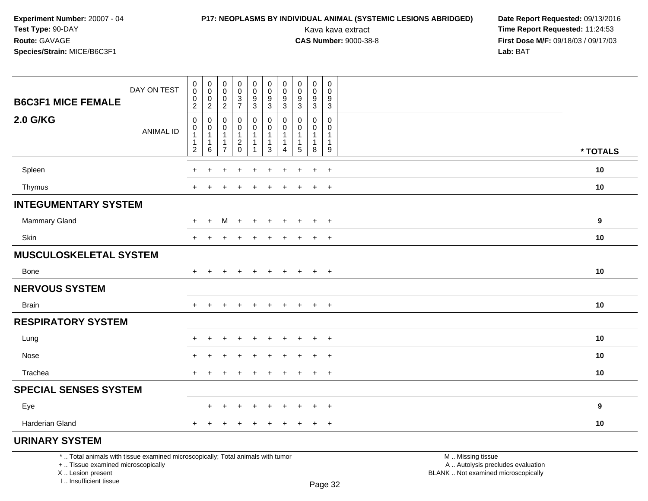## **P17: NEOPLASMS BY INDIVIDUAL ANIMAL (SYSTEMIC LESIONS ABRIDGED) Date Report Requested: 09/13/2016<br>Kava kava extract <b>Time Report Requested:** 11:24:53

Kava kava extract **Time Report Requested:** 11:24:53<br>**CAS Number:** 9000-38-8 **Time Report Requested:** 11:24:53 **First Dose M/F:** 09/18/03 / 09/17/03<br>**Lab:** BAT **Lab:** BAT

| <b>B6C3F1 MICE FEMALE</b>     | DAY ON TEST      | $_{\rm 0}^{\rm 0}$<br>$\mathbf 0$<br>$\overline{2}$                     | $\begin{smallmatrix} 0\\0 \end{smallmatrix}$<br>$\frac{0}{2}$          | $\begin{smallmatrix}0\\0\end{smallmatrix}$<br>$\pmb{0}$<br>$\overline{2}$ | $\begin{smallmatrix}0\0\0\end{smallmatrix}$<br>$\frac{3}{7}$ | $_{\rm 0}^{\rm 0}$<br>$\frac{9}{3}$                                    | $\begin{smallmatrix} 0\\0 \end{smallmatrix}$<br>$\frac{9}{3}$ | 0<br>$\mathbf 0$<br>$\boldsymbol{9}$<br>$\mathbf{3}$ | $\begin{smallmatrix} 0\\0 \end{smallmatrix}$<br>$\frac{9}{3}$          | 0<br>$\pmb{0}$<br>$\frac{9}{3}$                      | $\mathbf 0$<br>$\mathbf 0$<br>$\boldsymbol{9}$<br>$\mathbf{3}$ |                  |
|-------------------------------|------------------|-------------------------------------------------------------------------|------------------------------------------------------------------------|---------------------------------------------------------------------------|--------------------------------------------------------------|------------------------------------------------------------------------|---------------------------------------------------------------|------------------------------------------------------|------------------------------------------------------------------------|------------------------------------------------------|----------------------------------------------------------------|------------------|
| <b>2.0 G/KG</b>               | <b>ANIMAL ID</b> | $\pmb{0}$<br>$\pmb{0}$<br>$\mathbf{1}$<br>$\mathbf 1$<br>$\overline{c}$ | $\boldsymbol{0}$<br>$\pmb{0}$<br>$\overline{1}$<br>$\overline{1}$<br>6 | 0<br>$\pmb{0}$<br>$\mathbf{1}$<br>$\mathbf{1}$<br>$\overline{7}$          | 0<br>$\pmb{0}$<br>$\mathbf{1}$<br>$^2_{\rm 0}$               | $\pmb{0}$<br>$\pmb{0}$<br>$\mathbf{1}$<br>$\mathbf{1}$<br>$\mathbf{1}$ | $\pmb{0}$<br>$\pmb{0}$<br>$\mathbf{1}$<br>$\mathbf{1}$<br>3   | 0<br>$\Omega$<br>$\mathbf{1}$<br>$\overline{4}$      | $\boldsymbol{0}$<br>$\mathbf 0$<br>$\mathbf{1}$<br>$\overline{1}$<br>5 | 0<br>$\mathbf 0$<br>$\mathbf{1}$<br>$\mathbf 1$<br>8 | 0<br>$\Omega$<br>$\mathbf{1}$<br>$\mathbf{1}$<br>9             | * TOTALS         |
| Spleen                        |                  | $\ddot{}$                                                               | +                                                                      | ÷.                                                                        | $\ddot{}$                                                    | $\ddot{}$                                                              | $\overline{+}$                                                | $\pm$                                                | $\div$                                                                 | $\ddot{}$                                            | $+$                                                            | 10               |
| Thymus                        |                  | $\ddot{}$                                                               |                                                                        |                                                                           | $\ddot{}$                                                    | $\ddot{}$                                                              | $\pm$                                                         | $\pm$                                                |                                                                        | $\ddot{}$                                            | $^{+}$                                                         | 10               |
| <b>INTEGUMENTARY SYSTEM</b>   |                  |                                                                         |                                                                        |                                                                           |                                                              |                                                                        |                                                               |                                                      |                                                                        |                                                      |                                                                |                  |
| <b>Mammary Gland</b>          |                  | $+$                                                                     | $\ddot{}$                                                              | M                                                                         | $\ddot{}$                                                    |                                                                        | $\ddot{}$                                                     |                                                      |                                                                        | $\ddot{}$                                            | $+$                                                            | $\boldsymbol{9}$ |
| Skin                          |                  | $+$                                                                     | $\ddot{}$                                                              | $\ddot{}$                                                                 | $\div$                                                       | $\ddot{}$                                                              | $\ddot{}$                                                     | $\pm$                                                |                                                                        | $+$                                                  | $+$                                                            | 10               |
| <b>MUSCULOSKELETAL SYSTEM</b> |                  |                                                                         |                                                                        |                                                                           |                                                              |                                                                        |                                                               |                                                      |                                                                        |                                                      |                                                                |                  |
| Bone                          |                  | $+$                                                                     | $\pm$                                                                  |                                                                           | $\ddot{}$                                                    |                                                                        | +                                                             | $\pm$                                                | $\pm$                                                                  | $+$                                                  | $+$                                                            | 10               |
| <b>NERVOUS SYSTEM</b>         |                  |                                                                         |                                                                        |                                                                           |                                                              |                                                                        |                                                               |                                                      |                                                                        |                                                      |                                                                |                  |
| <b>Brain</b>                  |                  | $+$                                                                     |                                                                        |                                                                           | $\ddot{}$                                                    |                                                                        | $\ddot{}$                                                     | $\pm$                                                | $\ddot{}$                                                              | $+$                                                  | $+$                                                            | 10               |
| <b>RESPIRATORY SYSTEM</b>     |                  |                                                                         |                                                                        |                                                                           |                                                              |                                                                        |                                                               |                                                      |                                                                        |                                                      |                                                                |                  |
| Lung                          |                  | $+$                                                                     | $+$                                                                    | $\ddot{}$                                                                 | $\ddot{}$                                                    | $\ddot{}$                                                              | $\ddot{}$                                                     | $\pm$                                                | $\ddot{}$                                                              | $\ddot{}$                                            | $+$                                                            | 10               |
| Nose                          |                  | $+$                                                                     | $\ddot{}$                                                              | ٠                                                                         | $\ddot{}$                                                    | $\ddot{}$                                                              | $\ddot{}$                                                     | +                                                    | $\ddot{}$                                                              | $\ddot{}$                                            | $+$                                                            | 10               |
| Trachea                       |                  | $+$                                                                     | $\ddot{}$                                                              | ÷                                                                         | $\ddot{}$                                                    | $\ddot{}$                                                              | $\ddot{}$                                                     | $\ddot{}$                                            | $\ddot{}$                                                              | $\ddot{}$                                            | $+$                                                            | 10               |
| <b>SPECIAL SENSES SYSTEM</b>  |                  |                                                                         |                                                                        |                                                                           |                                                              |                                                                        |                                                               |                                                      |                                                                        |                                                      |                                                                |                  |
| Eye                           |                  |                                                                         | $+$                                                                    | $+$                                                                       | $\ddot{}$                                                    | $+$                                                                    | $+$                                                           | $\ddot{}$                                            | $+$                                                                    | $+$                                                  | $+$                                                            | 9                |
| <b>Harderian Gland</b>        |                  | $+$                                                                     | $+$                                                                    | $\ddot{}$                                                                 | $\ddot{}$                                                    | $\ddot{}$                                                              | $+$                                                           | $\ddot{}$                                            | $+$                                                                    | $+$                                                  | $+$                                                            | 10               |
| <b>URINARY SYSTEM</b>         |                  |                                                                         |                                                                        |                                                                           |                                                              |                                                                        |                                                               |                                                      |                                                                        |                                                      |                                                                |                  |

\* .. Total animals with tissue examined microscopically; Total animals with tumor

+ .. Tissue examined microscopically

X .. Lesion present